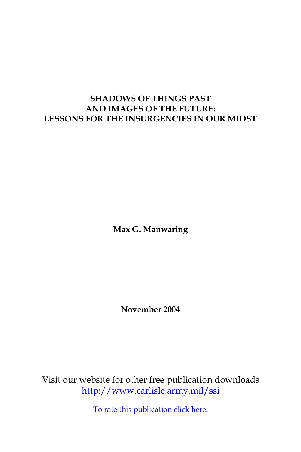## **SHADOWS OF THINGS PAST AND IMAGES OF THE FUTURE: LESSONS FOR THE INSURGENCIES IN OUR MIDST**

**Max G. Manwaring**

**November 2004**

Visit our website for other free publication downloads <http://www.carlisle.army.mil/ssi>

[To rate this publication click here.](http://www.carlisle.army.mil/ssi/pubs/display.cfm?pubid=587)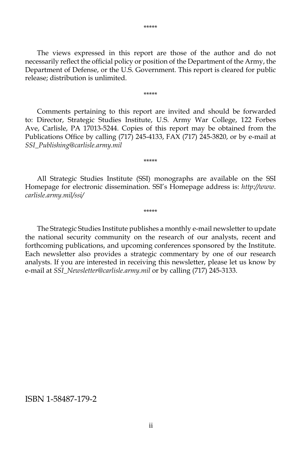The views expressed in this report are those of the author and do not necessarily reflect the official policy or position of the Department of the Army, the Department of Defense, or the U.S. Government. This report is cleared for public release; distribution is unlimited.

\*\*\*\*\*

 Comments pertaining to this report are invited and should be forwarded to: Director, Strategic Studies Institute, U.S. Army War College, 122 Forbes Ave, Carlisle, PA 17013-5244. Copies of this report may be obtained from the Publications Office by calling (717) 245-4133, FAX (717) 245-3820, or by e-mail at *SSI\_Publishing@carlisle.army.mil*

 All Strategic Studies Institute (SSI) monographs are available on the SSI Homepage for electronic dissemination. SSI's Homepage address is: *http://www. carlisle.army.mil/ssi/*

\*\*\*\*\*

\*\*\*\*\*

 The Strategic Studies Institute publishes a monthly e-mail newsletter to update the national security community on the research of our analysts, recent and forthcoming publications, and upcoming conferences sponsored by the Institute. Each newsletter also provides a strategic commentary by one of our research analysts. If you are interested in receiving this newsletter, please let us know by e-mail at *SSI\_Newsletter@carlisle.army.mil* or by calling (717) 245-3133.

#### ISBN 1-58487-179-2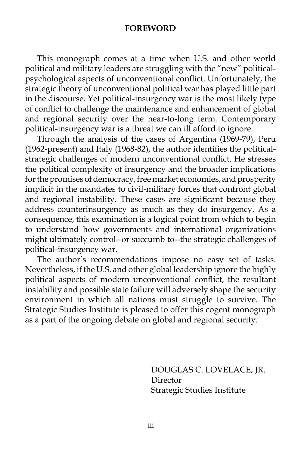#### **FOREWORD**

 This monograph comes at a time when U.S. and other world political and military leaders are struggling with the "new" politicalpsychological aspects of unconventional conflict. Unfortunately, the strategic theory of unconventional political war has played little part in the discourse. Yet political-insurgency war is the most likely type of conflict to challenge the maintenance and enhancement of global and regional security over the near-to-long term. Contemporary political-insurgency war is a threat we can ill afford to ignore.

 Through the analysis of the cases of Argentina (1969-79), Peru (1962-present) and Italy (1968-82), the author identifies the politicalstrategic challenges of modern unconventional conflict. He stresses the political complexity of insurgency and the broader implications for the promises of democracy, free market economies, and prosperity implicit in the mandates to civil-military forces that confront global and regional instability. These cases are significant because they address counterinsurgency as much as they do insurgency. As a consequence, this examination is a logical point from which to begin to understand how governments and international organizations might ultimately control--or succumb to--the strategic challenges of political-insurgency war.

 The author's recommendations impose no easy set of tasks. Nevertheless, if the U.S. and other global leadership ignore the highly political aspects of modern unconventional conflict, the resultant instability and possible state failure will adversely shape the security environment in which all nations must struggle to survive. The Strategic Studies Institute is pleased to offer this cogent monograph as a part of the ongoing debate on global and regional security.

> DOUGLAS C. LOVELACE, JR. Director Strategic Studies Institute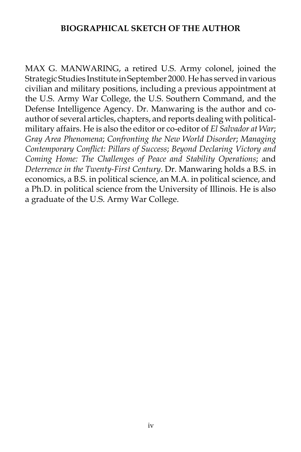### **BIOGRAPHICAL SKETCH OF THE AUTHOR**

MAX G. MANWARING, a retired U.S. Army colonel, joined the Strategic Studies Institute in September 2000. He has served in various civilian and military positions, including a previous appointment at the U.S. Army War College, the U.S. Southern Command, and the Defense Intelligence Agency. Dr. Manwaring is the author and coauthor of several articles, chapters, and reports dealing with politicalmilitary affairs. He is also the editor or co-editor of *El Salvador at War*; *Gray Area Phenomena*; *Confronting the New World Disorder*; *Managing Contemporary Conflict: Pillars of Success*; *Beyond Declaring Victory and Coming Home: The Challenges of Peace and Stability Operations*; and *Deterrence in the Twenty-First Century*. Dr. Manwaring holds a B.S. in economics, a B.S. in political science, an M.A. in political science, and a Ph.D. in political science from the University of Illinois. He is also a graduate of the U.S. Army War College.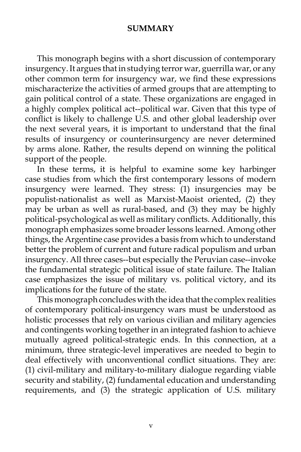#### **SUMMARY**

 This monograph begins with a short discussion of contemporary insurgency. It argues that in studying terror war, guerrilla war, or any other common term for insurgency war, we find these expressions mischaracterize the activities of armed groups that are attempting to gain political control of a state. These organizations are engaged in a highly complex political act--political war. Given that this type of conflict is likely to challenge U.S. and other global leadership over the next several years, it is important to understand that the final results of insurgency or counterinsurgency are never determined by arms alone. Rather, the results depend on winning the political support of the people.

 In these terms, it is helpful to examine some key harbinger case studies from which the first contemporary lessons of modern insurgency were learned. They stress: (1) insurgencies may be populist-nationalist as well as Marxist-Maoist oriented, (2) they may be urban as well as rural-based, and (3) they may be highly political-psychological as well as military conflicts. Additionally, this monograph emphasizes some broader lessons learned. Among other things, the Argentine case provides a basis from which to understand better the problem of current and future radical populism and urban insurgency. All three cases--but especially the Peruvian case--invoke the fundamental strategic political issue of state failure. The Italian case emphasizes the issue of military vs. political victory, and its implications for the future of the state.

 This monograph concludes with the idea that the complex realities of contemporary political-insurgency wars must be understood as holistic processes that rely on various civilian and military agencies and contingents working together in an integrated fashion to achieve mutually agreed political-strategic ends. In this connection, at a minimum, three strategic-level imperatives are needed to begin to deal effectively with unconventional conflict situations. They are: (1) civil-military and military-to-military dialogue regarding viable security and stability, (2) fundamental education and understanding requirements, and (3) the strategic application of U.S. military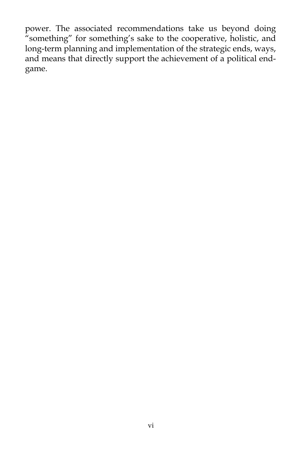power. The associated recommendations take us beyond doing "something" for something's sake to the cooperative, holistic, and long-term planning and implementation of the strategic ends, ways, and means that directly support the achievement of a political endgame.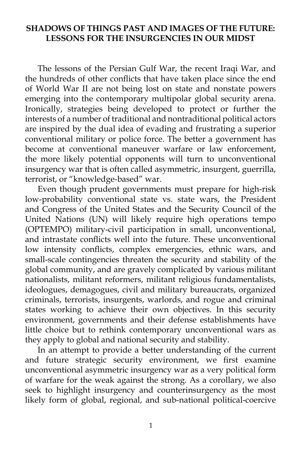### **SHADOWS OF THINGS PAST AND IMAGES OF THE FUTURE: LESSONS FOR THE INSURGENCIES IN OUR MIDST**

The lessons of the Persian Gulf War, the recent Iraqi War, and the hundreds of other conflicts that have taken place since the end of World War II are not being lost on state and nonstate powers emerging into the contemporary multipolar global security arena. Ironically, strategies being developed to protect or further the interests of a number of traditional and nontraditional political actors are inspired by the dual idea of evading and frustrating a superior conventional military or police force. The better a government has become at conventional maneuver warfare or law enforcement, the more likely potential opponents will turn to unconventional insurgency war that is often called asymmetric, insurgent, guerrilla, terrorist, or "knowledge-based" war.

 Even though prudent governments must prepare for high-risk low-probability conventional state vs. state wars, the President and Congress of the United States and the Security Council of the United Nations (UN) will likely require high operations tempo (OPTEMPO) military-civil participation in small, unconventional, and intrastate conflicts well into the future. These unconventional low intensity conflicts, complex emergencies, ethnic wars, and small-scale contingencies threaten the security and stability of the global community, and are gravely complicated by various militant nationalists, militant reformers, militant religious fundamentalists, ideologues, demagogues, civil and military bureaucrats, organized criminals, terrorists, insurgents, warlords, and rogue and criminal states working to achieve their own objectives. In this security environment, governments and their defense establishments have little choice but to rethink contemporary unconventional wars as they apply to global and national security and stability.

 In an attempt to provide a better understanding of the current and future strategic security environment, we first examine unconventional asymmetric insurgency war as a very political form of warfare for the weak against the strong. As a corollary, we also seek to highlight insurgency and counterinsurgency as the most likely form of global, regional, and sub-national political-coercive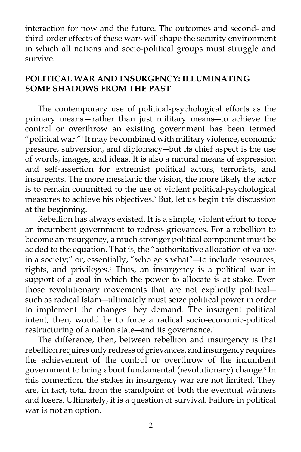interaction for now and the future. The outcomes and second- and third-order effects of these wars will shape the security environment in which all nations and socio-political groups must struggle and survive.

## **POLITICAL WAR AND INSURGENCY: ILLUMINATING SOME SHADOWS FROM THE PAST**

The contemporary use of political-psychological efforts as the primary means—rather than just military means―to achieve the control or overthrow an existing government has been termed "political war."<sup>1</sup> It may be combined with military violence, economic pressure, subversion, and diplomacy―but its chief aspect is the use of words, images, and ideas. It is also a natural means of expression and self-assertion for extremist political actors, terrorists, and insurgents. The more messianic the vision, the more likely the actor is to remain committed to the use of violent political-psychological measures to achieve his objectives.2 But, let us begin this discussion at the beginning.

 Rebellion has always existed. It is a simple, violent effort to force an incumbent government to redress grievances. For a rebellion to become an insurgency, a much stronger political component must be added to the equation. That is, the "authoritative allocation of values in a society;" or, essentially, "who gets what"―to include resources, rights, and privileges.<sup>3</sup> Thus, an insurgency is a political war in support of a goal in which the power to allocate is at stake. Even those revolutionary movements that are not explicitly political― such as radical Islam―ultimately must seize political power in order to implement the changes they demand. The insurgent political intent, then, would be to force a radical socio-economic-political restructuring of a nation state—and its governance.<sup>4</sup>

 The difference, then, between rebellion and insurgency is that rebellion requires only redress of grievances, and insurgency requires the achievement of the control or overthrow of the incumbent government to bring about fundamental (revolutionary) change.<sup>5</sup> In this connection, the stakes in insurgency war are not limited. They are, in fact, total from the standpoint of both the eventual winners and losers. Ultimately, it is a question of survival. Failure in political war is not an option.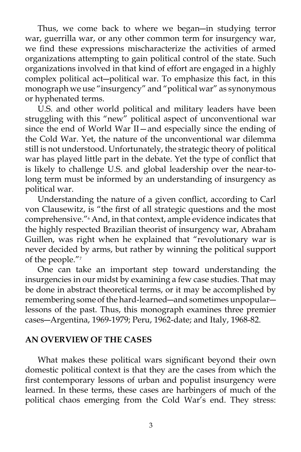Thus, we come back to where we began―in studying terror war, guerrilla war, or any other common term for insurgency war, we find these expressions mischaracterize the activities of armed organizations attempting to gain political control of the state. Such organizations involved in that kind of effort are engaged in a highly complex political act―political war. To emphasize this fact, in this monograph we use "insurgency" and "political war" as synonymous or hyphenated terms.

 U.S. and other world political and military leaders have been struggling with this "new" political aspect of unconventional war since the end of World War II—and especially since the ending of the Cold War. Yet, the nature of the unconventional war dilemma still is not understood. Unfortunately, the strategic theory of political war has played little part in the debate. Yet the type of conflict that is likely to challenge U.S. and global leadership over the near-tolong term must be informed by an understanding of insurgency as political war.

 Understanding the nature of a given conflict, according to Carl von Clausewitz, is "the first of all strategic questions and the most comprehensive."6 And, in that context, ample evidence indicates that the highly respected Brazilian theorist of insurgency war, Abraham Guillen, was right when he explained that "revolutionary war is never decided by arms, but rather by winning the political support of the people."7

 One can take an important step toward understanding the insurgencies in our midst by examining a few case studies. That may be done in abstract theoretical terms, or it may be accomplished by remembering some of the hard-learned―and sometimes unpopular― lessons of the past. Thus, this monograph examines three premier cases―Argentina, 1969-1979; Peru, 1962-date; and Italy, 1968-82.

#### **AN OVERVIEW OF THE CASES**

 What makes these political wars significant beyond their own domestic political context is that they are the cases from which the first contemporary lessons of urban and populist insurgency were learned. In these terms, these cases are harbingers of much of the political chaos emerging from the Cold War's end. They stress: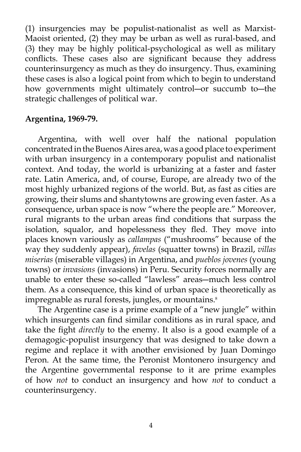(1) insurgencies may be populist-nationalist as well as Marxist-Maoist oriented, (2) they may be urban as well as rural-based, and (3) they may be highly political-psychological as well as military conflicts. These cases also are significant because they address counterinsurgency as much as they do insurgency. Thus, examining these cases is also a logical point from which to begin to understand how governments might ultimately control―or succumb to―the strategic challenges of political war.

#### **Argentina, 1969-79.**

Argentina, with well over half the national population concentrated in the Buenos Aires area, was a good place to experiment with urban insurgency in a contemporary populist and nationalist context. And today, the world is urbanizing at a faster and faster rate. Latin America, and, of course, Europe, are already two of the most highly urbanized regions of the world. But, as fast as cities are growing, their slums and shantytowns are growing even faster. As a consequence, urban space is now "where the people are." Moreover, rural migrants to the urban areas find conditions that surpass the isolation, squalor, and hopelessness they fled. They move into places known variously as *callampas* ("mushrooms" because of the way they suddenly appear), *favelas* (squatter towns) in Brazil, *villas miserias* (miserable villages) in Argentina, and *pueblos jovenes* (young towns) or *invasions* (invasions) in Peru. Security forces normally are unable to enter these so-called "lawless" areas―much less control them. As a consequence, this kind of urban space is theoretically as impregnable as rural forests, jungles, or mountains.<sup>8</sup>

 The Argentine case is a prime example of a "new jungle" within which insurgents can find similar conditions as in rural space, and take the fight *directly* to the enemy. It also is a good example of a demagogic-populist insurgency that was designed to take down a regime and replace it with another envisioned by Juan Domingo Peron. At the same time, the Peronist Montonero insurgency and the Argentine governmental response to it are prime examples of how *not* to conduct an insurgency and how *not* to conduct a counterinsurgency.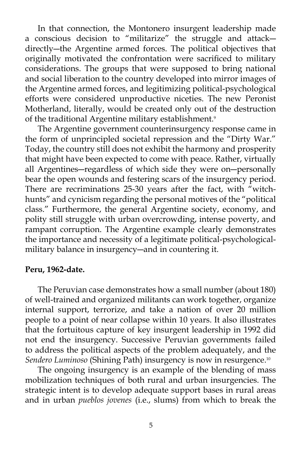In that connection, the Montonero insurgent leadership made a conscious decision to "militarize" the struggle and attack― directly―the Argentine armed forces. The political objectives that originally motivated the confrontation were sacrificed to military considerations. The groups that were supposed to bring national and social liberation to the country developed into mirror images of the Argentine armed forces, and legitimizing political-psychological efforts were considered unproductive niceties. The new Peronist Motherland, literally, would be created only out of the destruction of the traditional Argentine military establishment.<sup>9</sup>

 The Argentine government counterinsurgency response came in the form of unprincipled societal repression and the "Dirty War." Today, the country still does not exhibit the harmony and prosperity that might have been expected to come with peace. Rather, virtually all Argentines―regardless of which side they were on―personally bear the open wounds and festering scars of the insurgency period. There are recriminations 25-30 years after the fact, with "witchhunts" and cynicism regarding the personal motives of the "political class." Furthermore, the general Argentine society, economy, and polity still struggle with urban overcrowding, intense poverty, and rampant corruption. The Argentine example clearly demonstrates the importance and necessity of a legitimate political-psychologicalmilitary balance in insurgency―and in countering it.

#### **Peru, 1962-date.**

The Peruvian case demonstrates how a small number (about 180) of well-trained and organized militants can work together, organize internal support, terrorize, and take a nation of over 20 million people to a point of near collapse within 10 years. It also illustrates that the fortuitous capture of key insurgent leadership in 1992 did not end the insurgency. Successive Peruvian governments failed to address the political aspects of the problem adequately, and the *Sendero Luminoso* (Shining Path) insurgency is now in resurgence.10

 The ongoing insurgency is an example of the blending of mass mobilization techniques of both rural and urban insurgencies. The strategic intent is to develop adequate support bases in rural areas and in urban *pueblos jovenes* (i.e., slums) from which to break the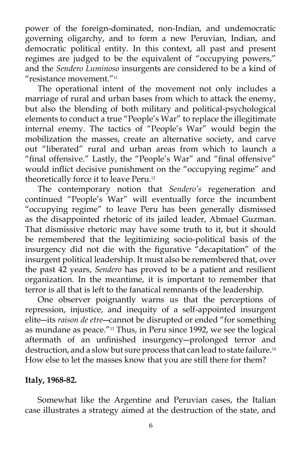power of the foreign-dominated, non-Indian, and undemocratic governing oligarchy, and to form a new Peruvian, Indian, and democratic political entity. In this context, all past and present regimes are judged to be the equivalent of "occupying powers," and the *Sendero Luminoso* insurgents are considered to be a kind of "resistance movement."11

 The operational intent of the movement not only includes a marriage of rural and urban bases from which to attack the enemy, but also the blending of both military and political-psychological elements to conduct a true "People's War" to replace the illegitimate internal enemy. The tactics of "People's War" would begin the mobilization the masses, create an alternative society, and carve out "liberated" rural and urban areas from which to launch a "final offensive." Lastly, the "People's War" and "final offensive" would inflict decisive punishment on the "occupying regime" and theoretically force it to leave Peru.<sup>12</sup>

 The contemporary notion that *Sendero's* regeneration and continued "People's War" will eventually force the incumbent "occupying regime" to leave Peru has been generally dismissed as the disappointed rhetoric of its jailed leader, Abmael Guzman. That dismissive rhetoric may have some truth to it, but it should be remembered that the legitimizing socio-political basis of the insurgency did not die with the figurative "decapitation" of the insurgent political leadership. It must also be remembered that, over the past 42 years, *Sendero* has proved to be a patient and resilient organization. In the meantime, it is important to remember that terror is all that is left to the fanatical remnants of the leadership.

 One observer poignantly warns us that the perceptions of repression, injustice, and inequity of a self-appointed insurgent elite―its *raison de etre*―cannot be disrupted or ended "for something as mundane as peace."<sup>13</sup> Thus, in Peru since 1992, we see the logical aftermath of an unfinished insurgency―prolonged terror and destruction, and a slow but sure process that can lead to state failure.<sup>14</sup> How else to let the masses know that you are still there for them?

#### **Italy, 1968-82.**

Somewhat like the Argentine and Peruvian cases, the Italian case illustrates a strategy aimed at the destruction of the state, and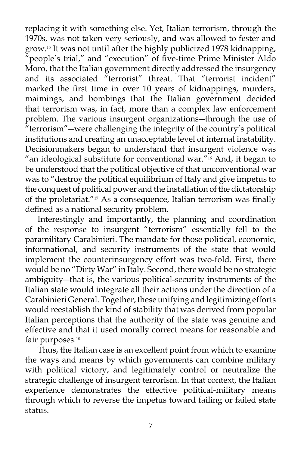replacing it with something else. Yet, Italian terrorism, through the 1970s, was not taken very seriously, and was allowed to fester and grow.15 It was not until after the highly publicized 1978 kidnapping, "people's trial," and "execution" of five-time Prime Minister Aldo Moro, that the Italian government directly addressed the insurgency and its associated "terrorist" threat. That "terrorist incident" marked the first time in over 10 years of kidnappings, murders, maimings, and bombings that the Italian government decided that terrorism was, in fact, more than a complex law enforcement problem. The various insurgent organizations―through the use of "terrorism"―were challenging the integrity of the country's political institutions and creating an unacceptable level of internal instability. Decisionmakers began to understand that insurgent violence was "an ideological substitute for conventional war." $16$  And, it began to be understood that the political objective of that unconventional war was to "destroy the political equilibrium of Italy and give impetus to the conquest of political power and the installation of the dictatorship of the proletariat."17 As a consequence, Italian terrorism was finally defined as a national security problem.

 Interestingly and importantly, the planning and coordination of the response to insurgent "terrorism" essentially fell to the paramilitary Carabinieri. The mandate for those political, economic, informational, and security instruments of the state that would implement the counterinsurgency effort was two-fold. First, there would be no "Dirty War" in Italy. Second, there would be no strategic ambiguity―that is, the various political-security instruments of the Italian state would integrate all their actions under the direction of a Carabinieri General. Together, these unifying and legitimizing efforts would reestablish the kind of stability that was derived from popular Italian perceptions that the authority of the state was genuine and effective and that it used morally correct means for reasonable and fair purposes.<sup>18</sup>

 Thus, the Italian case is an excellent point from which to examine the ways and means by which governments can combine military with political victory, and legitimately control or neutralize the strategic challenge of insurgent terrorism. In that context, the Italian experience demonstrates the effective political-military means through which to reverse the impetus toward failing or failed state status.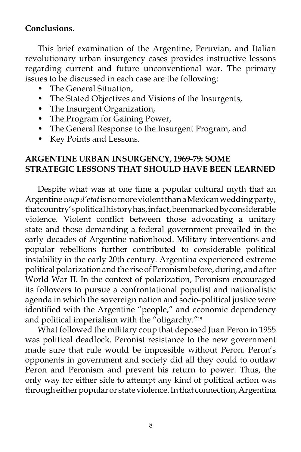## **Conclusions.**

This brief examination of the Argentine, Peruvian, and Italian revolutionary urban insurgency cases provides instructive lessons regarding current and future unconventional war. The primary issues to be discussed in each case are the following:

- The General Situation,
- The Stated Objectives and Visions of the Insurgents,
- The Insurgent Organization,
- The Program for Gaining Power,
- The General Response to the Insurgent Program, and
- Key Points and Lessons.

### **ARGENTINE URBAN INSURGENCY, 1969-79: SOME STRATEGIC LESSONS THAT SHOULD HAVE BEEN LEARNED**

 Despite what was at one time a popular cultural myth that an Argentine *coup d'etat* is no more violent than a Mexican wedding party, that country's political history has, in fact, been marked by considerable violence. Violent conflict between those advocating a unitary state and those demanding a federal government prevailed in the early decades of Argentine nationhood. Military interventions and popular rebellions further contributed to considerable political instability in the early 20th century. Argentina experienced extreme political polarization and the rise of Peronism before, during, and after World War II. In the context of polarization, Peronism encouraged its followers to pursue a confrontational populist and nationalistic agenda in which the sovereign nation and socio-political justice were identified with the Argentine "people," and economic dependency and political imperialism with the "oligarchy."19

 What followed the military coup that deposed Juan Peron in 1955 was political deadlock. Peronist resistance to the new government made sure that rule would be impossible without Peron. Peron's opponents in government and society did all they could to outlaw Peron and Peronism and prevent his return to power. Thus, the only way for either side to attempt any kind of political action was through either popular or state violence. In that connection, Argentina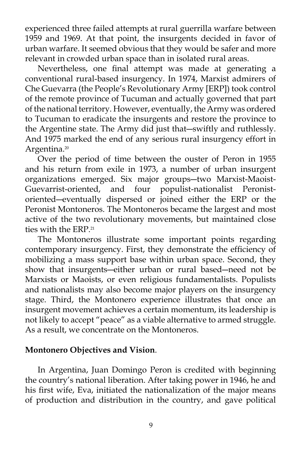experienced three failed attempts at rural guerrilla warfare between 1959 and 1969. At that point, the insurgents decided in favor of urban warfare. It seemed obvious that they would be safer and more relevant in crowded urban space than in isolated rural areas.

 Nevertheless, one final attempt was made at generating a conventional rural-based insurgency. In 1974, Marxist admirers of Che Guevarra (the People's Revolutionary Army [ERP]) took control of the remote province of Tucuman and actually governed that part of the national territory. However, eventually, the Army was ordered to Tucuman to eradicate the insurgents and restore the province to the Argentine state. The Army did just that―swiftly and ruthlessly. And 1975 marked the end of any serious rural insurgency effort in Argentina.<sup>20</sup>

 Over the period of time between the ouster of Peron in 1955 and his return from exile in 1973, a number of urban insurgent organizations emerged. Six major groups―two Marxist-Maoist-Guevarrist-oriented, and four populist-nationalist Peronistoriented―eventually dispersed or joined either the ERP or the Peronist Montoneros. The Montoneros became the largest and most active of the two revolutionary movements, but maintained close ties with the ERP.<sup>21</sup>

 The Montoneros illustrate some important points regarding contemporary insurgency. First, they demonstrate the efficiency of mobilizing a mass support base within urban space. Second, they show that insurgents―either urban or rural based―need not be Marxists or Maoists, or even religious fundamentalists. Populists and nationalists may also become major players on the insurgency stage. Third, the Montonero experience illustrates that once an insurgent movement achieves a certain momentum, its leadership is not likely to accept "peace" as a viable alternative to armed struggle. As a result, we concentrate on the Montoneros.

### **Montonero Objectives and Vision**.

 In Argentina, Juan Domingo Peron is credited with beginning the country's national liberation. After taking power in 1946, he and his first wife, Eva, initiated the nationalization of the major means of production and distribution in the country, and gave political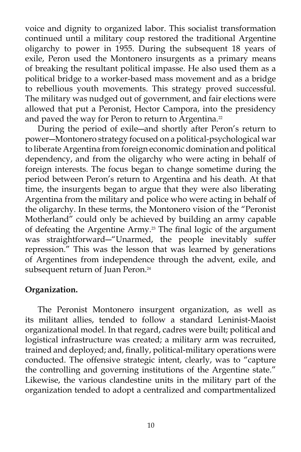voice and dignity to organized labor. This socialist transformation continued until a military coup restored the traditional Argentine oligarchy to power in 1955. During the subsequent 18 years of exile, Peron used the Montonero insurgents as a primary means of breaking the resultant political impasse. He also used them as a political bridge to a worker-based mass movement and as a bridge to rebellious youth movements. This strategy proved successful. The military was nudged out of government, and fair elections were allowed that put a Peronist, Hector Campora, into the presidency and paved the way for Peron to return to Argentina.<sup>22</sup>

 During the period of exile―and shortly after Peron's return to power―Montonero strategy focused on a political-psychological war to liberate Argentina from foreign economic domination and political dependency, and from the oligarchy who were acting in behalf of foreign interests. The focus began to change sometime during the period between Peron's return to Argentina and his death. At that time, the insurgents began to argue that they were also liberating Argentina from the military and police who were acting in behalf of the oligarchy. In these terms, the Montonero vision of the "Peronist Motherland" could only be achieved by building an army capable of defeating the Argentine Army.<sup>23</sup> The final logic of the argument was straightforward―"Unarmed, the people inevitably suffer repression." This was the lesson that was learned by generations of Argentines from independence through the advent, exile, and subsequent return of Juan Peron.<sup>24</sup>

### **Organization.**

The Peronist Montonero insurgent organization, as well as its militant allies, tended to follow a standard Leninist-Maoist organizational model. In that regard, cadres were built; political and logistical infrastructure was created; a military arm was recruited, trained and deployed; and, finally, political-military operations were conducted. The offensive strategic intent, clearly, was to "capture the controlling and governing institutions of the Argentine state." Likewise, the various clandestine units in the military part of the organization tended to adopt a centralized and compartmentalized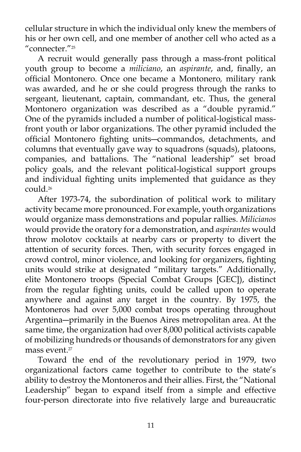cellular structure in which the individual only knew the members of his or her own cell, and one member of another cell who acted as a "connecter."25

 A recruit would generally pass through a mass-front political youth group to become a *miliciano*, an *aspirante*, and, finally, an official Montonero*.* Once one became a Montonero*,* military rank was awarded, and he or she could progress through the ranks to sergeant, lieutenant, captain, commandant, etc. Thus, the general Montonero organization was described as a "double pyramid." One of the pyramids included a number of political-logistical massfront youth or labor organizations. The other pyramid included the official Montonero fighting units―commandos, detachments, and columns that eventually gave way to squadrons (squads), platoons, companies, and battalions. The "national leadership" set broad policy goals, and the relevant political-logistical support groups and individual fighting units implemented that guidance as they could.26

 After 1973-74, the subordination of political work to military activity became more pronounced. For example, youth organizations would organize mass demonstrations and popular rallies. *Milicianos* would provide the oratory for a demonstration, and *aspirantes* would throw molotov cocktails at nearby cars or property to divert the attention of security forces. Then, with security forces engaged in crowd control, minor violence, and looking for organizers, fighting units would strike at designated "military targets." Additionally, elite Montonero troops (Special Combat Groups [GEC]), distinct from the regular fighting units, could be called upon to operate anywhere and against any target in the country. By 1975, the Montoneros had over 5,000 combat troops operating throughout Argentina―primarily in the Buenos Aires metropolitan area. At the same time, the organization had over 8,000 political activists capable of mobilizing hundreds or thousands of demonstrators for any given mass event.<sup>27</sup>

 Toward the end of the revolutionary period in 1979, two organizational factors came together to contribute to the state's ability to destroy the Montoneros and their allies. First, the "National Leadership" began to expand itself from a simple and effective four-person directorate into five relatively large and bureaucratic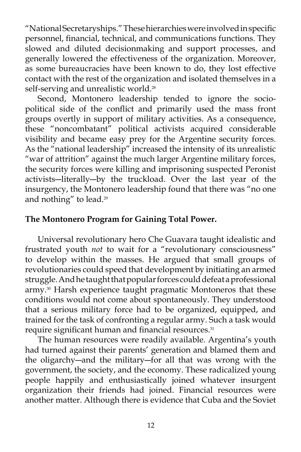"National Secretaryships." These hierarchies were involved in specific personnel, financial, technical, and communications functions. They slowed and diluted decisionmaking and support processes, and generally lowered the effectiveness of the organization. Moreover, as some bureaucracies have been known to do, they lost effective contact with the rest of the organization and isolated themselves in a self-serving and unrealistic world.<sup>28</sup>

 Second, Montonero leadership tended to ignore the sociopolitical side of the conflict and primarily used the mass front groups overtly in support of military activities. As a consequence, these "noncombatant" political activists acquired considerable visibility and became easy prey for the Argentine security forces. As the "national leadership" increased the intensity of its unrealistic "war of attrition" against the much larger Argentine military forces, the security forces were killing and imprisoning suspected Peronist activists―literally―by the truckload. Over the last year of the insurgency, the Montonero leadership found that there was "no one and nothing" to lead.<sup>29</sup>

## **The Montonero Program for Gaining Total Power.**

 Universal revolutionary hero Che Guavara taught idealistic and frustrated youth *not* to wait for a "revolutionary consciousness" to develop within the masses. He argued that small groups of revolutionaries could speed that development by initiating an armed struggle. And he taught that popular forces could defeat a professional army.<sup>30</sup> Harsh experience taught pragmatic Montoneros that these conditions would not come about spontaneously. They understood that a serious military force had to be organized, equipped, and trained for the task of confronting a regular army. Such a task would require significant human and financial resources.<sup>31</sup>

 The human resources were readily available. Argentina's youth had turned against their parents' generation and blamed them and the oligarchy―and the military―for all that was wrong with the government, the society, and the economy. These radicalized young people happily and enthusiastically joined whatever insurgent organization their friends had joined. Financial resources were another matter. Although there is evidence that Cuba and the Soviet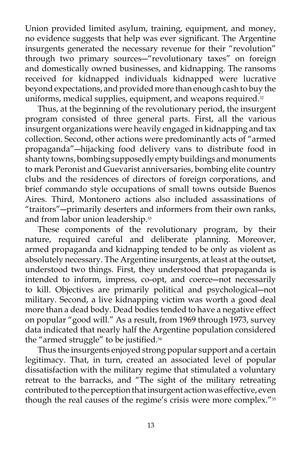Union provided limited asylum, training, equipment, and money, no evidence suggests that help was ever significant. The Argentine insurgents generated the necessary revenue for their "revolution" through two primary sources―"revolutionary taxes" on foreign and domestically owned businesses, and kidnapping. The ransoms received for kidnapped individuals kidnapped were lucrative beyond expectations, and provided more than enough cash to buy the uniforms, medical supplies, equipment, and weapons required.<sup>32</sup>

 Thus, at the beginning of the revolutionary period, the insurgent program consisted of three general parts. First, all the various insurgent organizations were heavily engaged in kidnapping and tax collection. Second, other actions were predominantly acts of "armed propaganda"―hijacking food delivery vans to distribute food in shanty towns, bombing supposedly empty buildings and monuments to mark Peronist and Guevarist anniversaries, bombing elite country clubs and the residences of directors of foreign corporations, and brief commando style occupations of small towns outside Buenos Aires. Third, Montonero actions also included assassinations of "traitors"―primarily deserters and informers from their own ranks, and from labor union leadership.<sup>33</sup>

 These components of the revolutionary program, by their nature, required careful and deliberate planning. Moreover, armed propaganda and kidnapping tended to be only as violent as absolutely necessary. The Argentine insurgents, at least at the outset, understood two things. First, they understood that propaganda is intended to inform, impress, co-opt, and coerce―not necessarily to kill. Objectives are primarily political and psychological―not military. Second, a live kidnapping victim was worth a good deal more than a dead body. Dead bodies tended to have a negative effect on popular "good will." As a result, from 1969 through 1973, survey data indicated that nearly half the Argentine population considered the "armed struggle" to be justified.<sup>34</sup>

 Thus the insurgents enjoyed strong popular support and a certain legitimacy. That, in turn, created an associated level of popular dissatisfaction with the military regime that stimulated a voluntary retreat to the barracks, and "The sight of the military retreating contributed to the perception that insurgent action was effective, even though the real causes of the regime's crisis were more complex."35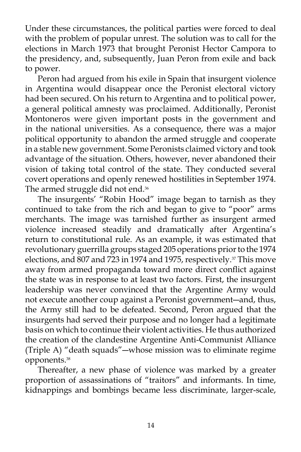Under these circumstances, the political parties were forced to deal with the problem of popular unrest. The solution was to call for the elections in March 1973 that brought Peronist Hector Campora to the presidency, and, subsequently, Juan Peron from exile and back to power.

 Peron had argued from his exile in Spain that insurgent violence in Argentina would disappear once the Peronist electoral victory had been secured. On his return to Argentina and to political power, a general political amnesty was proclaimed. Additionally, Peronist Montoneros were given important posts in the government and in the national universities. As a consequence, there was a major political opportunity to abandon the armed struggle and cooperate in a stable new government. Some Peronists claimed victory and took advantage of the situation. Others, however, never abandoned their vision of taking total control of the state. They conducted several covert operations and openly renewed hostilities in September 1974. The armed struggle did not end.<sup>36</sup>

 The insurgents' "Robin Hood" image began to tarnish as they continued to take from the rich and began to give to "poor" arms merchants. The image was tarnished further as insurgent armed violence increased steadily and dramatically after Argentina's return to constitutional rule. As an example, it was estimated that revolutionary guerrilla groups staged 205 operations prior to the 1974 elections, and 807 and 723 in 1974 and 1975, respectively.<sup>37</sup> This move away from armed propaganda toward more direct conflict against the state was in response to at least two factors. First, the insurgent leadership was never convinced that the Argentine Army would not execute another coup against a Peronist government―and, thus, the Army still had to be defeated. Second, Peron argued that the insurgents had served their purpose and no longer had a legitimate basis on which to continue their violent activities. He thus authorized the creation of the clandestine Argentine Anti-Communist Alliance (Triple A) "death squads"―whose mission was to eliminate regime opponents.38

 Thereafter, a new phase of violence was marked by a greater proportion of assassinations of "traitors" and informants. In time, kidnappings and bombings became less discriminate, larger-scale,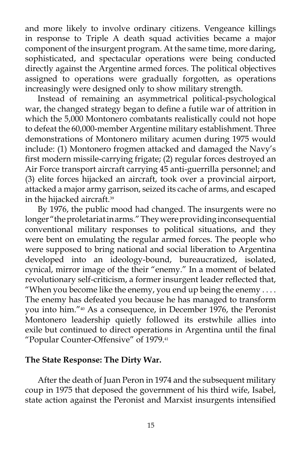and more likely to involve ordinary citizens. Vengeance killings in response to Triple A death squad activities became a major component of the insurgent program. At the same time, more daring, sophisticated, and spectacular operations were being conducted directly against the Argentine armed forces. The political objectives assigned to operations were gradually forgotten, as operations increasingly were designed only to show military strength.

 Instead of remaining an asymmetrical political-psychological war, the changed strategy began to define a futile war of attrition in which the 5,000 Montonero combatants realistically could not hope to defeat the 60,000-member Argentine military establishment. Three demonstrations of Montonero military acumen during 1975 would include: (1) Montonero frogmen attacked and damaged the Navy's first modern missile-carrying frigate; (2) regular forces destroyed an Air Force transport aircraft carrying 45 anti-guerrilla personnel; and (3) elite forces hijacked an aircraft, took over a provincial airport, attacked a major army garrison, seized its cache of arms, and escaped in the hijacked aircraft.<sup>39</sup>

 By 1976, the public mood had changed. The insurgents were no longer "the proletariat in arms." They were providing inconsequential conventional military responses to political situations, and they were bent on emulating the regular armed forces. The people who were supposed to bring national and social liberation to Argentina developed into an ideology-bound, bureaucratized, isolated, cynical, mirror image of the their "enemy." In a moment of belated revolutionary self-criticism, a former insurgent leader reflected that, "When you become like the enemy, you end up being the enemy . . . . The enemy has defeated you because he has managed to transform you into him."40 As a consequence, in December 1976, the Peronist Montonero leadership quietly followed its erstwhile allies into exile but continued to direct operations in Argentina until the final "Popular Counter-Offensive" of 1979.41

### **The State Response: The Dirty War.**

 After the death of Juan Peron in 1974 and the subsequent military coup in 1975 that deposed the government of his third wife, Isabel, state action against the Peronist and Marxist insurgents intensified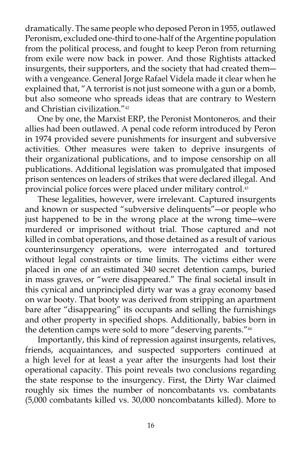dramatically. The same people who deposed Peron in 1955, outlawed Peronism, excluded one-third to one-half of the Argentine population from the political process, and fought to keep Peron from returning from exile were now back in power. And those Rightists attacked insurgents, their supporters, and the society that had created them― with a vengeance. General Jorge Rafael Videla made it clear when he explained that, "A terrorist is not just someone with a gun or a bomb, but also someone who spreads ideas that are contrary to Western and Christian civilization."42

 One by one, the Marxist ERP, the Peronist Montoneros*,* and their allies had been outlawed. A penal code reform introduced by Peron in 1974 provided severe punishments for insurgent and subversive activities. Other measures were taken to deprive insurgents of their organizational publications, and to impose censorship on all publications. Additional legislation was promulgated that imposed prison sentences on leaders of strikes that were declared illegal. And provincial police forces were placed under military control.<sup>43</sup>

 These legalities, however, were irrelevant. Captured insurgents and known or suspected "subversive delinquents"―or people who just happened to be in the wrong place at the wrong time―were murdered or imprisoned without trial. Those captured and not killed in combat operations, and those detained as a result of various counterinsurgency operations, were interrogated and tortured without legal constraints or time limits. The victims either were placed in one of an estimated 340 secret detention camps, buried in mass graves, or "were disappeared." The final societal insult in this cynical and unprincipled dirty war was a gray economy based on war booty. That booty was derived from stripping an apartment bare after "disappearing" its occupants and selling the furnishings and other property in specified shops. Additionally, babies born in the detention camps were sold to more "deserving parents."44

 Importantly, this kind of repression against insurgents, relatives, friends, acquaintances, and suspected supporters continued at a high level for at least a year after the insurgents had lost their operational capacity. This point reveals two conclusions regarding the state response to the insurgency. First, the Dirty War claimed roughly six times the number of noncombatants vs. combatants (5,000 combatants killed vs. 30,000 noncombatants killed). More to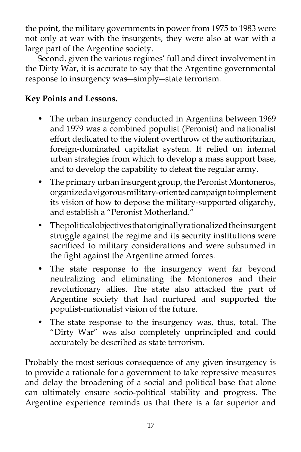the point, the military governments in power from 1975 to 1983 were not only at war with the insurgents, they were also at war with a large part of the Argentine society.

 Second, given the various regimes' full and direct involvement in the Dirty War, it is accurate to say that the Argentine governmental response to insurgency was―simply―state terrorism.

# **Key Points and Lessons.**

- The urban insurgency conducted in Argentina between 1969 and 1979 was a combined populist (Peronist) and nationalist effort dedicated to the violent overthrow of the authoritarian, foreign-dominated capitalist system. It relied on internal urban strategies from which to develop a mass support base, and to develop the capability to defeat the regular army.
- The primary urban insurgent group, the Peronist Montoneros, organized a vigorous military-oriented campaign to implement its vision of how to depose the military-supported oligarchy, and establish a "Peronist Motherland."
- The political objectives that originally rationalized the insurgent struggle against the regime and its security institutions were sacrificed to military considerations and were subsumed in the fight against the Argentine armed forces.
- The state response to the insurgency went far beyond neutralizing and eliminating the Montoneros and their revolutionary allies. The state also attacked the part of Argentine society that had nurtured and supported the populist-nationalist vision of the future.
- The state response to the insurgency was, thus, total. The "Dirty War" was also completely unprincipled and could accurately be described as state terrorism.

Probably the most serious consequence of any given insurgency is to provide a rationale for a government to take repressive measures and delay the broadening of a social and political base that alone can ultimately ensure socio-political stability and progress. The Argentine experience reminds us that there is a far superior and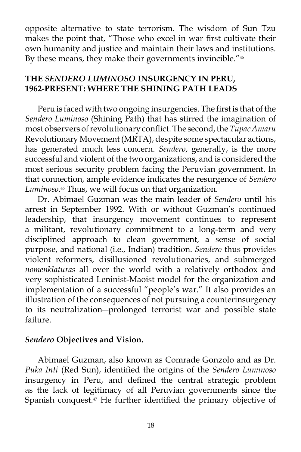opposite alternative to state terrorism. The wisdom of Sun Tzu makes the point that, "Those who excel in war first cultivate their own humanity and justice and maintain their laws and institutions. By these means, they make their governments invincible."<sup>45</sup>

## **THE** *SENDERO LUMINOSO* **INSURGENCY IN PERU, 1962-PRESENT: WHERE THE SHINING PATH LEADS**

 Peru is faced with two ongoing insurgencies. The first is that of the *Sendero Luminoso* (Shining Path) that has stirred the imagination of most observers of revolutionary conflict. The second, the *Tupac Amaru* Revolutionary Movement (MRTA), despite some spectacular actions, has generated much less concern. *Sendero*, generally, is the more successful and violent of the two organizations, and is considered the most serious security problem facing the Peruvian government. In that connection, ample evidence indicates the resurgence of *Sendero Luminoso*. 46 Thus, we will focus on that organization.

 Dr. Abimael Guzman was the main leader of *Sendero* until his arrest in September 1992. With or without Guzman's continued leadership, that insurgency movement continues to represent a militant, revolutionary commitment to a long-term and very disciplined approach to clean government, a sense of social purpose, and national (i.e., Indian) tradition. *Sendero* thus provides violent reformers, disillusioned revolutionaries, and submerged *nomenklaturas* all over the world with a relatively orthodox and very sophisticated Leninist-Maoist model for the organization and implementation of a successful "people's war." It also provides an illustration of the consequences of not pursuing a counterinsurgency to its neutralization―prolonged terrorist war and possible state failure.

### *Sendero* **Objectives and Vision.**

 Abimael Guzman, also known as Comrade Gonzolo and as Dr. *Puka Inti* (Red Sun), identified the origins of the *Sendero Luminoso* insurgency in Peru, and defined the central strategic problem as the lack of legitimacy of all Peruvian governments since the Spanish conquest.<sup>47</sup> He further identified the primary objective of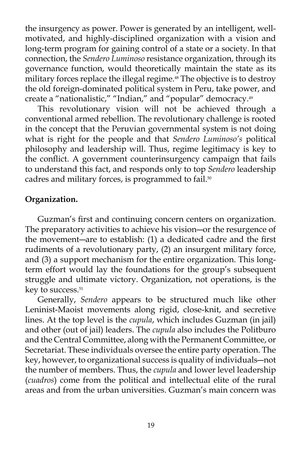the insurgency as power. Power is generated by an intelligent, wellmotivated, and highly-disciplined organization with a vision and long-term program for gaining control of a state or a society. In that connection, the *Sendero Luminoso* resistance organization, through its governance function, would theoretically maintain the state as its military forces replace the illegal regime.<sup>48</sup> The objective is to destroy the old foreign-dominated political system in Peru, take power, and create a "nationalistic," "Indian," and "popular" democracy.49

 This revolutionary vision will not be achieved through a conventional armed rebellion. The revolutionary challenge is rooted in the concept that the Peruvian governmental system is not doing what is right for the people and that *Sendero Luminoso's* political philosophy and leadership will. Thus, regime legitimacy is key to the conflict. A government counterinsurgency campaign that fails to understand this fact, and responds only to top *Sendero* leadership cadres and military forces, is programmed to fail.<sup>50</sup>

### **Organization.**

 Guzman's first and continuing concern centers on organization. The preparatory activities to achieve his vision―or the resurgence of the movement―are to establish: (1) a dedicated cadre and the first rudiments of a revolutionary party, (2) an insurgent military force, and (3) a support mechanism for the entire organization. This longterm effort would lay the foundations for the group's subsequent struggle and ultimate victory. Organization, not operations, is the key to success.<sup>51</sup>

 Generally, *Sendero* appears to be structured much like other Leninist-Maoist movements along rigid, close-knit, and secretive lines. At the top level is the *cupula*, which includes Guzman (in jail) and other (out of jail) leaders. The *cupula* also includes the Politburo and the Central Committee, along with the Permanent Committee, or Secretariat. These individuals oversee the entire party operation. The key, however, to organizational success is quality of individuals―not the number of members. Thus, the *cupula* and lower level leadership (*cuadros*) come from the political and intellectual elite of the rural areas and from the urban universities. Guzman's main concern was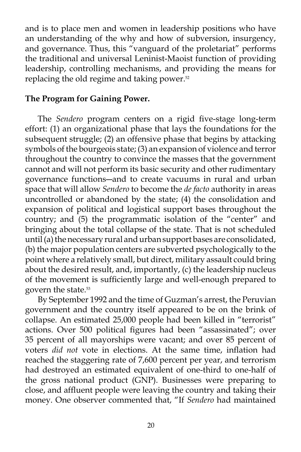and is to place men and women in leadership positions who have an understanding of the why and how of subversion, insurgency, and governance. Thus, this "vanguard of the proletariat" performs the traditional and universal Leninist-Maoist function of providing leadership, controlling mechanisms, and providing the means for replacing the old regime and taking power.<sup>52</sup>

### **The Program for Gaining Power.**

 The *Sendero* program centers on a rigid five-stage long-term effort: (1) an organizational phase that lays the foundations for the subsequent struggle; (2) an offensive phase that begins by attacking symbols of the bourgeois state; (3) an expansion of violence and terror throughout the country to convince the masses that the government cannot and will not perform its basic security and other rudimentary governance functions―and to create vacuums in rural and urban space that will allow *Sendero* to become the *de facto* authority in areas uncontrolled or abandoned by the state; (4) the consolidation and expansion of political and logistical support bases throughout the country; and (5) the programmatic isolation of the "center" and bringing about the total collapse of the state. That is not scheduled until (a) the necessary rural and urban support bases are consolidated, (b) the major population centers are subverted psychologically to the point where a relatively small, but direct, military assault could bring about the desired result, and, importantly, (c) the leadership nucleus of the movement is sufficiently large and well-enough prepared to govern the state.53

 By September 1992 and the time of Guzman's arrest, the Peruvian government and the country itself appeared to be on the brink of collapse. An estimated 25,000 people had been killed in "terrorist" actions. Over 500 political figures had been "assassinated"; over 35 percent of all mayorships were vacant; and over 85 percent of voters *did not* vote in elections. At the same time, inflation had reached the staggering rate of 7,600 percent per year, and terrorism had destroyed an estimated equivalent of one-third to one-half of the gross national product (GNP). Businesses were preparing to close, and affluent people were leaving the country and taking their money. One observer commented that, "If *Sendero* had maintained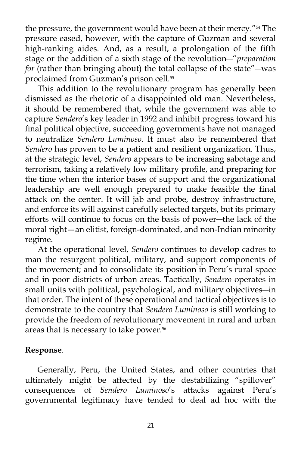the pressure, the government would have been at their mercy."54 The pressure eased, however, with the capture of Guzman and several high-ranking aides. And, as a result, a prolongation of the fifth stage or the addition of a sixth stage of the revolution―"*preparation for* (rather than bringing about) the total collapse of the state"―was proclaimed from Guzman's prison cell.<sup>55</sup>

 This addition to the revolutionary program has generally been dismissed as the rhetoric of a disappointed old man. Nevertheless, it should be remembered that, while the government was able to capture *Sendero*'s key leader in 1992 and inhibit progress toward his final political objective, succeeding governments have not managed to neutralize *Sendero Luminoso*. It must also be remembered that *Sendero* has proven to be a patient and resilient organization. Thus, at the strategic level, *Sendero* appears to be increasing sabotage and terrorism, taking a relatively low military profile, and preparing for the time when the interior bases of support and the organizational leadership are well enough prepared to make feasible the final attack on the center. It will jab and probe, destroy infrastructure, and enforce its will against carefully selected targets, but its primary efforts will continue to focus on the basis of power―the lack of the moral right—an elitist, foreign-dominated, and non-Indian minority regime.

 At the operational level, *Sendero* continues to develop cadres to man the resurgent political, military, and support components of the movement; and to consolidate its position in Peru's rural space and in poor districts of urban areas. Tactically, *Sendero* operates in small units with political, psychological, and military objectives―in that order. The intent of these operational and tactical objectives is to demonstrate to the country that *Sendero Luminoso* is still working to provide the freedom of revolutionary movement in rural and urban areas that is necessary to take power.<sup>56</sup>

## **Response**.

 Generally, Peru, the United States, and other countries that ultimately might be affected by the destabilizing "spillover" consequences of *Sendero Luminoso*'s attacks against Peru's governmental legitimacy have tended to deal ad hoc with the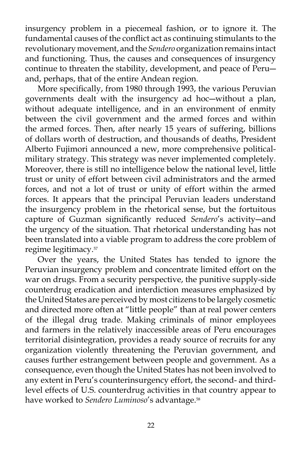insurgency problem in a piecemeal fashion, or to ignore it. The fundamental causes of the conflict act as continuing stimulants to the revolutionary movement, and the *Sendero* organization remains intact and functioning. Thus, the causes and consequences of insurgency continue to threaten the stability, development, and peace of Peruand, perhaps, that of the entire Andean region.

 More specifically, from 1980 through 1993, the various Peruvian governments dealt with the insurgency ad hoc―without a plan, without adequate intelligence, and in an environment of enmity between the civil government and the armed forces and within the armed forces. Then, after nearly 15 years of suffering, billions of dollars worth of destruction, and thousands of deaths, President Alberto Fujimori announced a new, more comprehensive politicalmilitary strategy. This strategy was never implemented completely. Moreover, there is still no intelligence below the national level, little trust or unity of effort between civil administrators and the armed forces, and not a lot of trust or unity of effort within the armed forces. It appears that the principal Peruvian leaders understand the insurgency problem in the rhetorical sense, but the fortuitous capture of Guzman significantly reduced *Sendero*'s activity―and the urgency of the situation. That rhetorical understanding has not been translated into a viable program to address the core problem of regime legitimacy.57

 Over the years, the United States has tended to ignore the Peruvian insurgency problem and concentrate limited effort on the war on drugs. From a security perspective, the punitive supply-side counterdrug eradication and interdiction measures emphasized by the United States are perceived by most citizens to be largely cosmetic and directed more often at "little people" than at real power centers of the illegal drug trade. Making criminals of minor employees and farmers in the relatively inaccessible areas of Peru encourages territorial disintegration, provides a ready source of recruits for any organization violently threatening the Peruvian government, and causes further estrangement between people and government. As a consequence, even though the United States has not been involved to any extent in Peru's counterinsurgency effort, the second- and thirdlevel effects of U.S. counterdrug activities in that country appear to have worked to *Sendero Luminoso*'s advantage.58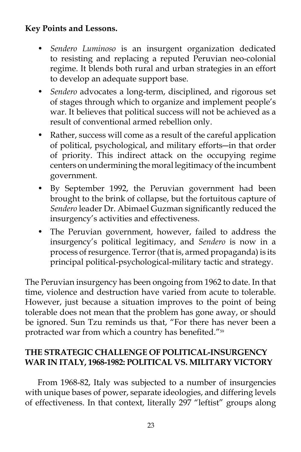# **Key Points and Lessons.**

- *Sendero Luminoso* is an insurgent organization dedicated to resisting and replacing a reputed Peruvian neo-colonial regime. It blends both rural and urban strategies in an effort to develop an adequate support base.
- *Sendero* advocates a long-term, disciplined, and rigorous set of stages through which to organize and implement people's war. It believes that political success will not be achieved as a result of conventional armed rebellion only.
- Rather, success will come as a result of the careful application of political, psychological, and military efforts―in that order of priority. This indirect attack on the occupying regime centers on undermining the moral legitimacy of the incumbent government.
- By September 1992, the Peruvian government had been brought to the brink of collapse, but the fortuitous capture of *Sendero* leader Dr. Abimael Guzman significantly reduced the insurgency's activities and effectiveness.
- The Peruvian government, however, failed to address the insurgency's political legitimacy, and *Sendero* is now in a process of resurgence. Terror (that is, armed propaganda) is its principal political-psychological-military tactic and strategy.

The Peruvian insurgency has been ongoing from 1962 to date. In that time, violence and destruction have varied from acute to tolerable. However, just because a situation improves to the point of being tolerable does not mean that the problem has gone away, or should be ignored. Sun Tzu reminds us that, "For there has never been a protracted war from which a country has benefited."<sup>59</sup>

## **THE STRATEGIC CHALLENGE OF POLITICAL-INSURGENCY WAR IN ITALY, 1968-1982: POLITICAL VS. MILITARY VICTORY**

 From 1968-82, Italy was subjected to a number of insurgencies with unique bases of power, separate ideologies, and differing levels of effectiveness. In that context, literally 297 "leftist" groups along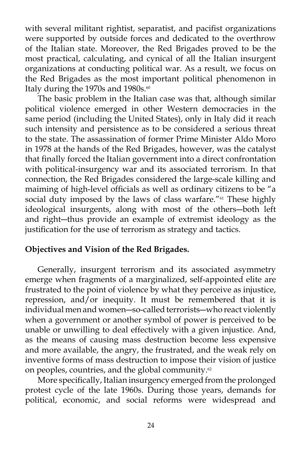with several militant rightist, separatist, and pacifist organizations were supported by outside forces and dedicated to the overthrow of the Italian state. Moreover, the Red Brigades proved to be the most practical, calculating, and cynical of all the Italian insurgent organizations at conducting political war. As a result, we focus on the Red Brigades as the most important political phenomenon in Italy during the 1970s and 1980s.<sup>60</sup>

 The basic problem in the Italian case was that, although similar political violence emerged in other Western democracies in the same period (including the United States), only in Italy did it reach such intensity and persistence as to be considered a serious threat to the state. The assassination of former Prime Minister Aldo Moro in 1978 at the hands of the Red Brigades, however, was the catalyst that finally forced the Italian government into a direct confrontation with political-insurgency war and its associated terrorism. In that connection, the Red Brigades considered the large-scale killing and maiming of high-level officials as well as ordinary citizens to be "a social duty imposed by the laws of class warfare."<sup>61</sup> These highly ideological insurgents, along with most of the others―both left and right―thus provide an example of extremist ideology as the justification for the use of terrorism as strategy and tactics.

## **Objectives and Vision of the Red Brigades.**

 Generally, insurgent terrorism and its associated asymmetry emerge when fragments of a marginalized, self-appointed elite are frustrated to the point of violence by what they perceive as injustice, repression, and/or inequity. It must be remembered that it is individual men and women―so-called terrorists―who react violently when a government or another symbol of power is perceived to be unable or unwilling to deal effectively with a given injustice. And, as the means of causing mass destruction become less expensive and more available, the angry, the frustrated, and the weak rely on inventive forms of mass destruction to impose their vision of justice on peoples, countries, and the global community.<sup>62</sup>

 More specifically, Italian insurgency emerged from the prolonged protest cycle of the late 1960s. During those years, demands for political, economic, and social reforms were widespread and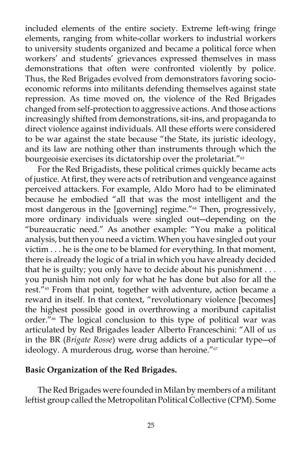included elements of the entire society. Extreme left-wing fringe elements, ranging from white-collar workers to industrial workers to university students organized and became a political force when workers' and students' grievances expressed themselves in mass demonstrations that often were confronted violently by police. Thus, the Red Brigades evolved from demonstrators favoring socioeconomic reforms into militants defending themselves against state repression. As time moved on, the violence of the Red Brigades changed from self-protection to aggressive actions. And those actions increasingly shifted from demonstrations, sit-ins, and propaganda to direct violence against individuals. All these efforts were considered to be war against the state because "the State, its juristic ideology, and its law are nothing other than instruments through which the bourgeoisie exercises its dictatorship over the proletariat."<sup>63</sup>

 For the Red Brigadists, these political crimes quickly became acts of justice. At first, they were acts of retribution and vengeance against perceived attackers. For example, Aldo Moro had to be eliminated because he embodied "all that was the most intelligent and the most dangerous in the [governing] regime."64 Then, progressively, more ordinary individuals were singled out―depending on the "bureaucratic need." As another example: "You make a political analysis, but then you need a victim. When you have singled out your victim . . . he is the one to be blamed for everything. In that moment, there is already the logic of a trial in which you have already decided that he is guilty; you only have to decide about his punishment . . . you punish him not only for what he has done but also for all the rest."<sup>65</sup> From that point, together with adventure, action became a reward in itself. In that context, "revolutionary violence [becomes] the highest possible good in overthrowing a moribund capitalist order."66 The logical conclusion to this type of political war was articulated by Red Brigades leader Alberto Franceschini: "All of us in the BR (*Brigate Rosse*) were drug addicts of a particular type―of ideology. A murderous drug, worse than heroine."<sup>67</sup>

### **Basic Organization of the Red Brigades.**

 The Red Brigades were founded in Milan by members of a militant leftist group called the Metropolitan Political Collective (CPM). Some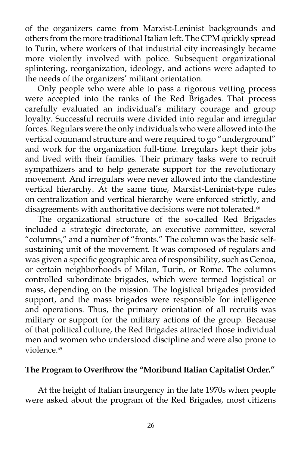of the organizers came from Marxist-Leninist backgrounds and others from the more traditional Italian left. The CPM quickly spread to Turin, where workers of that industrial city increasingly became more violently involved with police. Subsequent organizational splintering, reorganization, ideology, and actions were adapted to the needs of the organizers' militant orientation.

 Only people who were able to pass a rigorous vetting process were accepted into the ranks of the Red Brigades. That process carefully evaluated an individual's military courage and group loyalty. Successful recruits were divided into regular and irregular forces. Regulars were the only individuals who were allowed into the vertical command structure and were required to go "underground" and work for the organization full-time. Irregulars kept their jobs and lived with their families. Their primary tasks were to recruit sympathizers and to help generate support for the revolutionary movement. And irregulars were never allowed into the clandestine vertical hierarchy. At the same time, Marxist-Leninist-type rules on centralization and vertical hierarchy were enforced strictly, and disagreements with authoritative decisions were not tolerated.<sup>68</sup>

 The organizational structure of the so-called Red Brigades included a strategic directorate, an executive committee, several "columns," and a number of "fronts." The column was the basic selfsustaining unit of the movement. It was composed of regulars and was given a specific geographic area of responsibility, such as Genoa, or certain neighborhoods of Milan, Turin, or Rome. The columns controlled subordinate brigades, which were termed logistical or mass, depending on the mission. The logistical brigades provided support, and the mass brigades were responsible for intelligence and operations. Thus, the primary orientation of all recruits was military or support for the military actions of the group. Because of that political culture, the Red Brigades attracted those individual men and women who understood discipline and were also prone to violence.<sup>69</sup>

### **The Program to Overthrow the "Moribund Italian Capitalist Order."**

 At the height of Italian insurgency in the late 1970s when people were asked about the program of the Red Brigades, most citizens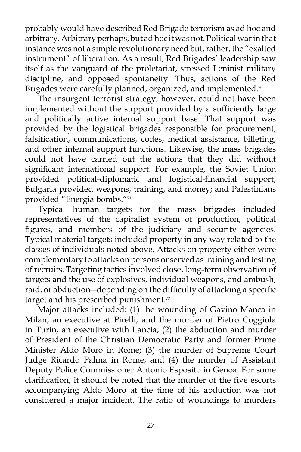probably would have described Red Brigade terrorism as ad hoc and arbitrary. Arbitrary perhaps, but ad hoc it was not. Political war in that instance was not a simple revolutionary need but, rather, the "exalted instrument" of liberation. As a result, Red Brigades' leadership saw itself as the vanguard of the proletariat, stressed Leninist military discipline, and opposed spontaneity. Thus, actions of the Red Brigades were carefully planned, organized, and implemented.<sup>70</sup>

 The insurgent terrorist strategy, however, could not have been implemented without the support provided by a sufficiently large and politically active internal support base. That support was provided by the logistical brigades responsible for procurement, falsification, communications, codes, medical assistance, billeting, and other internal support functions. Likewise, the mass brigades could not have carried out the actions that they did without significant international support. For example, the Soviet Union provided political-diplomatic and logistical-financial support; Bulgaria provided weapons, training, and money; and Palestinians provided "Energia bombs."71

 Typical human targets for the mass brigades included representatives of the capitalist system of production, political figures, and members of the judiciary and security agencies. Typical material targets included property in any way related to the classes of individuals noted above. Attacks on property either were complementary to attacks on persons or served as training and testing of recruits. Targeting tactics involved close, long-term observation of targets and the use of explosives, individual weapons, and ambush, raid, or abduction―depending on the difficulty of attacking a specific target and his prescribed punishment.<sup>72</sup>

 Major attacks included: (1) the wounding of Gavino Manca in Milan, an executive at Pirelli, and the murder of Pietro Coggiola in Turin, an executive with Lancia; (2) the abduction and murder of President of the Christian Democratic Party and former Prime Minister Aldo Moro in Rome; (3) the murder of Supreme Court Judge Ricardo Palma in Rome; and (4) the murder of Assistant Deputy Police Commissioner Antonio Esposito in Genoa. For some clarification, it should be noted that the murder of the five escorts accompanying Aldo Moro at the time of his abduction was not considered a major incident. The ratio of woundings to murders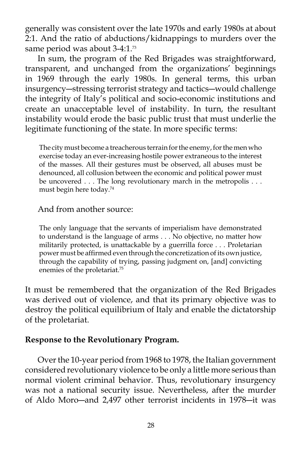generally was consistent over the late 1970s and early 1980s at about 2:1. And the ratio of abductions/kidnappings to murders over the same period was about 3-4:1.<sup>73</sup>

 In sum, the program of the Red Brigades was straightforward, transparent, and unchanged from the organizations' beginnings in 1969 through the early 1980s. In general terms, this urban insurgency―stressing terrorist strategy and tactics―would challenge the integrity of Italy's political and socio-economic institutions and create an unacceptable level of instability. In turn, the resultant instability would erode the basic public trust that must underlie the legitimate functioning of the state. In more specific terms:

The city must become a treacherous terrain for the enemy, for the men who exercise today an ever-increasing hostile power extraneous to the interest of the masses. All their gestures must be observed, all abuses must be denounced, all collusion between the economic and political power must be uncovered . . . The long revolutionary march in the metropolis . . . must begin here today.74

#### And from another source:

The only language that the servants of imperialism have demonstrated to understand is the language of arms . . . No objective, no matter how militarily protected, is unattackable by a guerrilla force . . . Proletarian power must be affirmed even through the concretization of its own justice, through the capability of trying, passing judgment on, [and] convicting enemies of the proletariat.75

It must be remembered that the organization of the Red Brigades was derived out of violence, and that its primary objective was to destroy the political equilibrium of Italy and enable the dictatorship of the proletariat.

#### **Response to the Revolutionary Program.**

 Over the 10-year period from 1968 to 1978, the Italian government considered revolutionary violence to be only a little more serious than normal violent criminal behavior. Thus, revolutionary insurgency was not a national security issue. Nevertheless, after the murder of Aldo Moro―and 2,497 other terrorist incidents in 1978―it was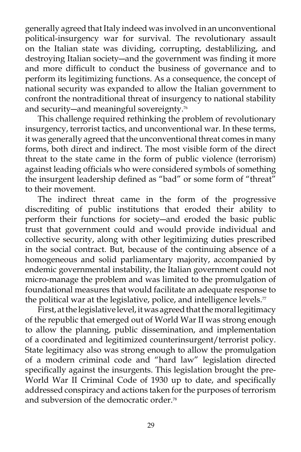generally agreed that Italy indeed was involved in an unconventional political-insurgency war for survival. The revolutionary assault on the Italian state was dividing, corrupting, destablilizing, and destroying Italian society―and the government was finding it more and more difficult to conduct the business of governance and to perform its legitimizing functions. As a consequence, the concept of national security was expanded to allow the Italian government to confront the nontraditional threat of insurgency to national stability and security—and meaningful sovereignty.<sup>76</sup>

This challenge required rethinking the problem of revolutionary insurgency, terrorist tactics, and unconventional war. In these terms, it was generally agreed that the unconventional threat comes in many forms, both direct and indirect. The most visible form of the direct threat to the state came in the form of public violence (terrorism) against leading officials who were considered symbols of something the insurgent leadership defined as "bad" or some form of "threat" to their movement.

 The indirect threat came in the form of the progressive discrediting of public institutions that eroded their ability to perform their functions for society―and eroded the basic public trust that government could and would provide individual and collective security, along with other legitimizing duties prescribed in the social contract. But, because of the continuing absence of a homogeneous and solid parliamentary majority, accompanied by endemic governmental instability, the Italian government could not micro-manage the problem and was limited to the promulgation of foundational measures that would facilitate an adequate response to the political war at the legislative, police, and intelligence levels. $\pi$ 

 First, at the legislative level, it was agreed that the moral legitimacy of the republic that emerged out of World War II was strong enough to allow the planning, public dissemination, and implementation of a coordinated and legitimized counterinsurgent/terrorist policy. State legitimacy also was strong enough to allow the promulgation of a modern criminal code and "hard law" legislation directed specifically against the insurgents. This legislation brought the pre-World War II Criminal Code of 1930 up to date, and specifically addressed conspiracy and actions taken for the purposes of terrorism and subversion of the democratic order.<sup>78</sup>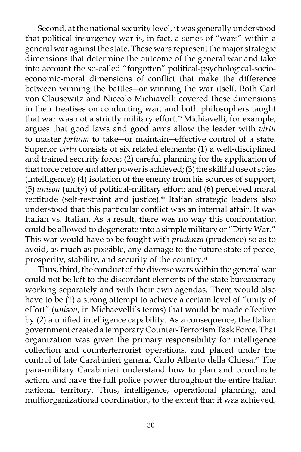Second, at the national security level, it was generally understood that political-insurgency war is, in fact, a series of "wars" within a general war against the state. These wars represent the major strategic dimensions that determine the outcome of the general war and take into account the so-called "forgotten" political-psychological-socioeconomic-moral dimensions of conflict that make the difference between winning the battles―or winning the war itself. Both Carl von Clausewitz and Niccolo Michiavelli covered these dimensions in their treatises on conducting war, and both philosophers taught that war was not a strictly military effort.<sup>79</sup> Michiavelli, for example, argues that good laws and good arms allow the leader with *virtu* to master *fortuna* to take―or maintain―effective control of a state. Superior *virtu* consists of six related elements: (1) a well-disciplined and trained security force; (2) careful planning for the application of that force before and after power is achieved; (3) the skillful use of spies (intelligence); (4) isolation of the enemy from his sources of support; (5) *unison* (unity) of political-military effort; and (6) perceived moral rectitude (self-restraint and justice).<sup>80</sup> Italian strategic leaders also understood that this particular conflict was an internal affair. It was Italian vs. Italian. As a result, there was no way this confrontation could be allowed to degenerate into a simple military or "Dirty War." This war would have to be fought with *prudenza* (prudence) so as to avoid, as much as possible, any damage to the future state of peace, prosperity, stability, and security of the country.<sup>81</sup>

 Thus, third, the conduct of the diverse wars within the general war could not be left to the discordant elements of the state bureaucracy working separately and with their own agendas. There would also have to be (1) a strong attempt to achieve a certain level of "unity of effort" (*unison*, in Michaevelli's terms) that would be made effective by (2) a unified intelligence capability. As a consequence, the Italian government created a temporary Counter-Terrorism Task Force. That organization was given the primary responsibility for intelligence collection and counterterrorist operations, and placed under the control of late Carabinieri general Carlo Alberto della Chiesa.<sup>82</sup> The para-military Carabinieri understand how to plan and coordinate action, and have the full police power throughout the entire Italian national territory. Thus, intelligence, operational planning, and multiorganizational coordination, to the extent that it was achieved,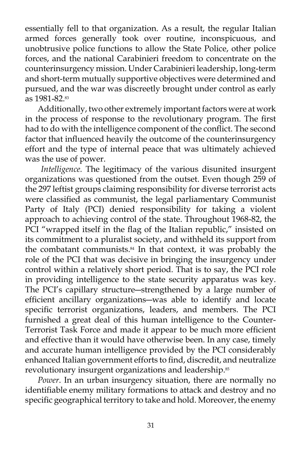essentially fell to that organization. As a result, the regular Italian armed forces generally took over routine, inconspicuous, and unobtrusive police functions to allow the State Police, other police forces, and the national Carabinieri freedom to concentrate on the counterinsurgency mission. Under Carabinieri leadership, long-term and short-term mutually supportive objectives were determined and pursued, and the war was discreetly brought under control as early as 1981-82.83

 Additionally, two other extremely important factors were at work in the process of response to the revolutionary program. The first had to do with the intelligence component of the conflict. The second factor that influenced heavily the outcome of the counterinsurgency effort and the type of internal peace that was ultimately achieved was the use of power.

 *Intelligence.* The legitimacy of the various disunited insurgent organizations was questioned from the outset. Even though 259 of the 297 leftist groups claiming responsibility for diverse terrorist acts were classified as communist, the legal parliamentary Communist Party of Italy (PCI) denied responsibility for taking a violent approach to achieving control of the state. Throughout 1968-82, the PCI "wrapped itself in the flag of the Italian republic," insisted on its commitment to a pluralist society, and withheld its support from the combatant communists.84 In that context, it was probably the role of the PCI that was decisive in bringing the insurgency under control within a relatively short period. That is to say, the PCI role in providing intelligence to the state security apparatus was key. The PCI's capillary structure―strengthened by a large number of efficient ancillary organizations―was able to identify and locate specific terrorist organizations, leaders, and members. The PCI furnished a great deal of this human intelligence to the Counter-Terrorist Task Force and made it appear to be much more efficient and effective than it would have otherwise been. In any case, timely and accurate human intelligence provided by the PCI considerably enhanced Italian government efforts to find, discredit, and neutralize revolutionary insurgent organizations and leadership.<sup>85</sup>

*Power*. In an urban insurgency situation, there are normally no identifiable enemy military formations to attack and destroy and no specific geographical territory to take and hold. Moreover, the enemy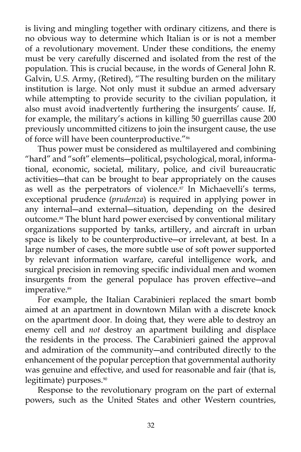is living and mingling together with ordinary citizens, and there is no obvious way to determine which Italian is or is not a member of a revolutionary movement. Under these conditions, the enemy must be very carefully discerned and isolated from the rest of the population. This is crucial because, in the words of General John R. Galvin, U.S. Army, (Retired), "The resulting burden on the military institution is large. Not only must it subdue an armed adversary while attempting to provide security to the civilian population, it also must avoid inadvertently furthering the insurgents' cause. If, for example, the military's actions in killing 50 guerrillas cause 200 previously uncommitted citizens to join the insurgent cause, the use of force will have been counterproductive."<sup>86</sup>

 Thus power must be considered as multilayered and combining "hard" and "soft" elements―political, psychological, moral, informational, economic, societal, military, police, and civil bureaucratic activities―that can be brought to bear appropriately on the causes as well as the perpetrators of violence.<sup>87</sup> In Michaevelli's terms, exceptional prudence (*prudenza*) is required in applying power in any internal―and external―situation, depending on the desired outcome.88 The blunt hard power exercised by conventional military organizations supported by tanks, artillery, and aircraft in urban space is likely to be counterproductive―or irrelevant, at best. In a large number of cases, the more subtle use of soft power supported by relevant information warfare, careful intelligence work, and surgical precision in removing specific individual men and women insurgents from the general populace has proven effective―and imperative.<sup>89</sup>

 For example, the Italian Carabinieri replaced the smart bomb aimed at an apartment in downtown Milan with a discrete knock on the apartment door. In doing that, they were able to destroy an enemy cell and *not* destroy an apartment building and displace the residents in the process. The Carabinieri gained the approval and admiration of the community―and contributed directly to the enhancement of the popular perception that governmental authority was genuine and effective, and used for reasonable and fair (that is, legitimate) purposes.<sup>90</sup>

 Response to the revolutionary program on the part of external powers, such as the United States and other Western countries,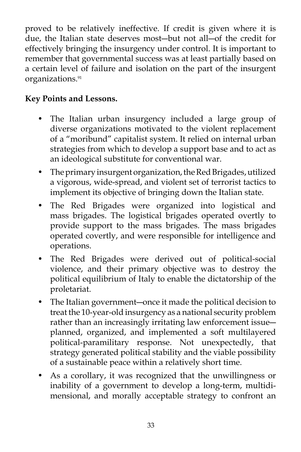proved to be relatively ineffective. If credit is given where it is due, the Italian state deserves most―but not all―of the credit for effectively bringing the insurgency under control. It is important to remember that governmental success was at least partially based on a certain level of failure and isolation on the part of the insurgent organizations.<sup>91</sup>

# **Key Points and Lessons.**

- The Italian urban insurgency included a large group of diverse organizations motivated to the violent replacement of a "moribund" capitalist system. It relied on internal urban strategies from which to develop a support base and to act as an ideological substitute for conventional war.
- The primary insurgent organization, the Red Brigades, utilized a vigorous, wide-spread, and violent set of terrorist tactics to implement its objective of bringing down the Italian state.
- The Red Brigades were organized into logistical and mass brigades. The logistical brigades operated overtly to provide support to the mass brigades. The mass brigades operated covertly, and were responsible for intelligence and operations.
- The Red Brigades were derived out of political-social violence, and their primary objective was to destroy the political equilibrium of Italy to enable the dictatorship of the proletariat.
- The Italian government—once it made the political decision to treat the 10-year-old insurgency as a national security problem rather than an increasingly irritating law enforcement issue― planned, organized, and implemented a soft multilayered political-paramilitary response. Not unexpectedly, that strategy generated political stability and the viable possibility of a sustainable peace within a relatively short time.
- As a corollary, it was recognized that the unwillingness or inability of a government to develop a long-term, multidimensional, and morally acceptable strategy to confront an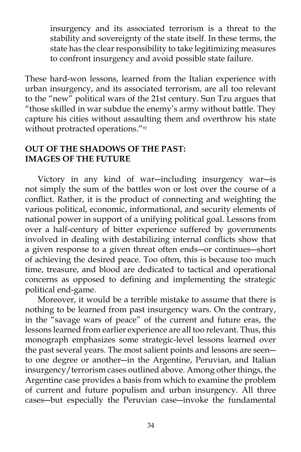insurgency and its associated terrorism is a threat to the stability and sovereignty of the state itself. In these terms, the state has the clear responsibility to take legitimizing measures to confront insurgency and avoid possible state failure.

These hard-won lessons, learned from the Italian experience with urban insurgency, and its associated terrorism, are all too relevant to the "new" political wars of the 21st century. Sun Tzu argues that "those skilled in war subdue the enemy's army without battle. They capture his cities without assaulting them and overthrow his state without protracted operations."<sup>92</sup>

### **OUT OF THE SHADOWS OF THE PAST: IMAGES OF THE FUTURE**

 Victory in any kind of war―including insurgency war―is not simply the sum of the battles won or lost over the course of a conflict. Rather, it is the product of connecting and weighting the various political, economic, informational, and security elements of national power in support of a unifying political goal. Lessons from over a half-century of bitter experience suffered by governments involved in dealing with destabilizing internal conflicts show that a given response to a given threat often ends―or continues―short of achieving the desired peace. Too often, this is because too much time, treasure, and blood are dedicated to tactical and operational concerns as opposed to defining and implementing the strategic political end-game.

 Moreover, it would be a terrible mistake to assume that there is nothing to be learned from past insurgency wars. On the contrary, in the "savage wars of peace" of the current and future eras, the lessons learned from earlier experience are all too relevant. Thus, this monograph emphasizes some strategic-level lessons learned over the past several years. The most salient points and lessons are seen― to one degree or another―in the Argentine, Peruvian, and Italian insurgency/terrorism cases outlined above. Among other things, the Argentine case provides a basis from which to examine the problem of current and future populism and urban insurgency. All three cases―but especially the Peruvian case―invoke the fundamental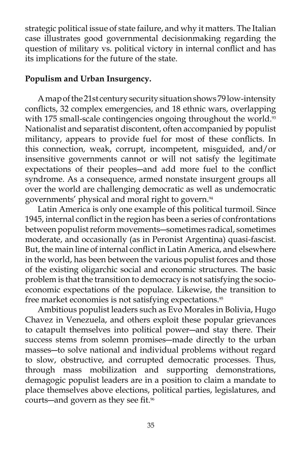strategic political issue of state failure, and why it matters. The Italian case illustrates good governmental decisionmaking regarding the question of military vs. political victory in internal conflict and has its implications for the future of the state.

### **Populism and Urban Insurgency.**

 A map of the 21st century security situation shows 79 low-intensity conflicts, 32 complex emergencies, and 18 ethnic wars, overlapping with 175 small-scale contingencies ongoing throughout the world. $93$ Nationalist and separatist discontent, often accompanied by populist militancy, appears to provide fuel for most of these conflicts. In this connection, weak, corrupt, incompetent, misguided, and/or insensitive governments cannot or will not satisfy the legitimate expectations of their peoples―and add more fuel to the conflict syndrome. As a consequence, armed nonstate insurgent groups all over the world are challenging democratic as well as undemocratic governments' physical and moral right to govern.94

 Latin America is only one example of this political turmoil. Since 1945, internal conflict in the region has been a series of confrontations between populist reform movements―sometimes radical, sometimes moderate, and occasionally (as in Peronist Argentina) quasi-fascist. But, the main line of internal conflict in Latin America, and elsewhere in the world, has been between the various populist forces and those of the existing oligarchic social and economic structures. The basic problem is that the transition to democracy is not satisfying the socioeconomic expectations of the populace. Likewise, the transition to free market economies is not satisfying expectations.<sup>95</sup>

 Ambitious populist leaders such as Evo Morales in Bolivia, Hugo Chavez in Venezuela, and others exploit these popular grievances to catapult themselves into political power―and stay there. Their success stems from solemn promises―made directly to the urban masses―to solve national and individual problems without regard to slow, obstructive, and corrupted democratic processes. Thus, through mass mobilization and supporting demonstrations, demagogic populist leaders are in a position to claim a mandate to place themselves above elections, political parties, legislatures, and courts—and govern as they see fit.<sup>96</sup>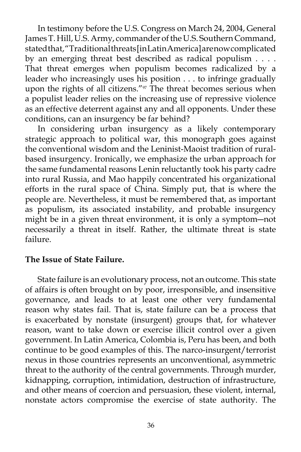In testimony before the U.S. Congress on March 24, 2004, General James T. Hill, U.S. Army, commander of the U.S. Southern Command, stated that, "Traditional threats [in Latin America] are now complicated by an emerging threat best described as radical populism . . . . That threat emerges when populism becomes radicalized by a leader who increasingly uses his position . . . to infringe gradually upon the rights of all citizens."<sup>97</sup> The threat becomes serious when a populist leader relies on the increasing use of repressive violence as an effective deterrent against any and all opponents. Under these conditions, can an insurgency be far behind?

In considering urban insurgency as a likely contemporary strategic approach to political war, this monograph goes against the conventional wisdom and the Leninist-Maoist tradition of ruralbased insurgency. Ironically, we emphasize the urban approach for the same fundamental reasons Lenin reluctantly took his party cadre into rural Russia, and Mao happily concentrated his organizational efforts in the rural space of China. Simply put, that is where the people are. Nevertheless, it must be remembered that, as important as populism, its associated instability, and probable insurgency might be in a given threat environment, it is only a symptom―not necessarily a threat in itself. Rather, the ultimate threat is state failure.

### **The Issue of State Failure.**

 State failure is an evolutionary process, not an outcome. This state of affairs is often brought on by poor, irresponsible, and insensitive governance, and leads to at least one other very fundamental reason why states fail. That is, state failure can be a process that is exacerbated by nonstate (insurgent) groups that, for whatever reason, want to take down or exercise illicit control over a given government. In Latin America, Colombia is, Peru has been, and both continue to be good examples of this. The narco-insurgent/terrorist nexus in those countries represents an unconventional, asymmetric threat to the authority of the central governments. Through murder, kidnapping, corruption, intimidation, destruction of infrastructure, and other means of coercion and persuasion, these violent, internal, nonstate actors compromise the exercise of state authority. The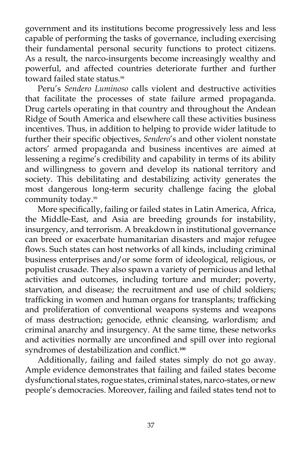government and its institutions become progressively less and less capable of performing the tasks of governance, including exercising their fundamental personal security functions to protect citizens. As a result, the narco-insurgents become increasingly wealthy and powerful, and affected countries deteriorate further and further toward failed state status.<sup>98</sup>

 Peru's *Sendero Luminoso* calls violent and destructive activities that facilitate the processes of state failure armed propaganda. Drug cartels operating in that country and throughout the Andean Ridge of South America and elsewhere call these activities business incentives. Thus, in addition to helping to provide wider latitude to further their specific objectives, *Sendero*'s and other violent nonstate actors' armed propaganda and business incentives are aimed at lessening a regime's credibility and capability in terms of its ability and willingness to govern and develop its national territory and society. This debilitating and destabilizing activity generates the most dangerous long-term security challenge facing the global community today.<sup>99</sup>

 More specifically, failing or failed states in Latin America, Africa, the Middle-East, and Asia are breeding grounds for instability, insurgency, and terrorism. A breakdown in institutional governance can breed or exacerbate humanitarian disasters and major refugee flows. Such states can host networks of all kinds, including criminal business enterprises and/or some form of ideological, religious, or populist crusade. They also spawn a variety of pernicious and lethal activities and outcomes, including torture and murder; poverty, starvation, and disease; the recruitment and use of child soldiers; trafficking in women and human organs for transplants; trafficking and proliferation of conventional weapons systems and weapons of mass destruction; genocide, ethnic cleansing, warlordism; and criminal anarchy and insurgency. At the same time, these networks and activities normally are unconfined and spill over into regional syndromes of destabilization and conflict.**<sup>100</sup>**

Additionally, failing and failed states simply do not go away. Ample evidence demonstrates that failing and failed states become dysfunctional states, rogue states, criminal states, narco-states, or new people's democracies. Moreover, failing and failed states tend not to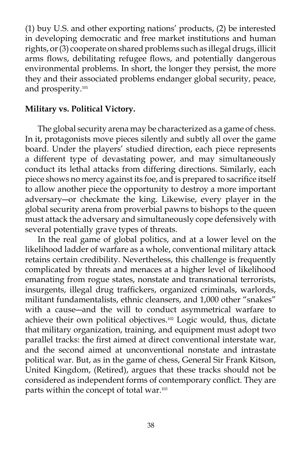(1) buy U.S. and other exporting nations' products, (2) be interested in developing democratic and free market institutions and human rights, or (3) cooperate on shared problems such as illegal drugs, illicit arms flows, debilitating refugee flows, and potentially dangerous environmental problems. In short, the longer they persist, the more they and their associated problems endanger global security, peace, and prosperity.101

### **Military vs. Political Victory.**

 The global security arena may be characterized as a game of chess. In it, protagonists move pieces silently and subtly all over the game board. Under the players' studied direction, each piece represents a different type of devastating power, and may simultaneously conduct its lethal attacks from differing directions. Similarly, each piece shows no mercy against its foe, and is prepared to sacrifice itself to allow another piece the opportunity to destroy a more important adversary―or checkmate the king. Likewise, every player in the global security arena from proverbial pawns to bishops to the queen must attack the adversary and simultaneously cope defensively with several potentially grave types of threats.

 In the real game of global politics, and at a lower level on the likelihood ladder of warfare as a whole, conventional military attack retains certain credibility. Nevertheless, this challenge is frequently complicated by threats and menaces at a higher level of likelihood emanating from rogue states, nonstate and transnational terrorists, insurgents, illegal drug traffickers, organized criminals, warlords, militant fundamentalists, ethnic cleansers, and 1,000 other "snakes" with a cause―and the will to conduct asymmetrical warfare to achieve their own political objectives.102 Logic would, thus, dictate that military organization, training, and equipment must adopt two parallel tracks: the first aimed at direct conventional interstate war, and the second aimed at unconventional nonstate and intrastate political war. But, as in the game of chess, General Sir Frank Kitson, United Kingdom, (Retired), argues that these tracks should not be considered as independent forms of contemporary conflict. They are parts within the concept of total war.103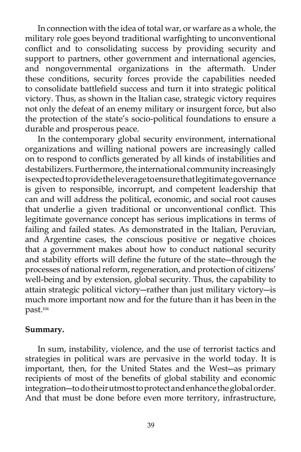In connection with the idea of total war, or warfare as a whole, the military role goes beyond traditional warfighting to unconventional conflict and to consolidating success by providing security and support to partners, other government and international agencies, and nongovernmental organizations in the aftermath. Under these conditions, security forces provide the capabilities needed to consolidate battlefield success and turn it into strategic political victory. Thus, as shown in the Italian case, strategic victory requires not only the defeat of an enemy military or insurgent force, but also the protection of the state's socio-political foundations to ensure a durable and prosperous peace.

In the contemporary global security environment, international organizations and willing national powers are increasingly called on to respond to conflicts generated by all kinds of instabilities and destabilizers. Furthermore, the international community increasingly is expected to provide the leverage to ensure that legitimate governance is given to responsible, incorrupt, and competent leadership that can and will address the political, economic, and social root causes that underlie a given traditional or unconventional conflict. This legitimate governance concept has serious implications in terms of failing and failed states. As demonstrated in the Italian, Peruvian, and Argentine cases, the conscious positive or negative choices that a government makes about how to conduct national security and stability efforts will define the future of the state―through the processes of national reform, regeneration, and protection of citizens' well-being and by extension, global security. Thus, the capability to attain strategic political victory―rather than just military victory―is much more important now and for the future than it has been in the past.104

### **Summary.**

 In sum, instability, violence, and the use of terrorist tactics and strategies in political wars are pervasive in the world today. It is important, then, for the United States and the West―as primary recipients of most of the benefits of global stability and economic integration―to do their utmost to protect and enhance the global order. And that must be done before even more territory, infrastructure,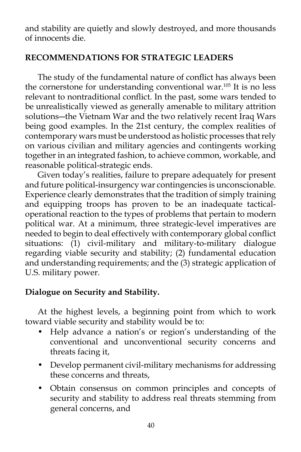and stability are quietly and slowly destroyed, and more thousands of innocents die.

# **RECOMMENDATIONS FOR STRATEGIC LEADERS**

 The study of the fundamental nature of conflict has always been the cornerstone for understanding conventional war.105 It is no less relevant to nontraditional conflict. In the past, some wars tended to be unrealistically viewed as generally amenable to military attrition solutions―the Vietnam War and the two relatively recent Iraq Wars being good examples. In the 21st century, the complex realities of contemporary wars must be understood as holistic processes that rely on various civilian and military agencies and contingents working together in an integrated fashion, to achieve common, workable, and reasonable political-strategic ends.

 Given today's realities, failure to prepare adequately for present and future political-insurgency war contingencies is unconscionable. Experience clearly demonstrates that the tradition of simply training and equipping troops has proven to be an inadequate tacticaloperational reaction to the types of problems that pertain to modern political war. At a minimum, three strategic-level imperatives are needed to begin to deal effectively with contemporary global conflict situations: (1) civil-military and military-to-military dialogue regarding viable security and stability; (2) fundamental education and understanding requirements; and the (3) strategic application of U.S. military power.

# **Dialogue on Security and Stability.**

 At the highest levels, a beginning point from which to work toward viable security and stability would be to:

- Help advance a nation's or region's understanding of the conventional and unconventional security concerns and threats facing it,
- Develop permanent civil-military mechanisms for addressing these concerns and threats,
- Obtain consensus on common principles and concepts of security and stability to address real threats stemming from general concerns, and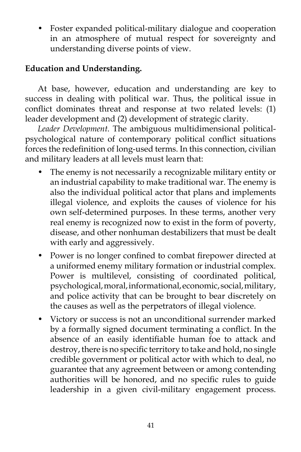• Foster expanded political-military dialogue and cooperation in an atmosphere of mutual respect for sovereignty and understanding diverse points of view.

# **Education and Understanding.**

 At base, however, education and understanding are key to success in dealing with political war. Thus, the political issue in conflict dominates threat and response at two related levels: (1) leader development and (2) development of strategic clarity.

*Leader Development.* The ambiguous multidimensional politicalpsychological nature of contemporary political conflict situations forces the redefinition of long-used terms. In this connection, civilian and military leaders at all levels must learn that:

- The enemy is not necessarily a recognizable military entity or an industrial capability to make traditional war. The enemy is also the individual political actor that plans and implements illegal violence, and exploits the causes of violence for his own self-determined purposes. In these terms, another very real enemy is recognized now to exist in the form of poverty, disease, and other nonhuman destabilizers that must be dealt with early and aggressively.
- Power is no longer confined to combat firepower directed at a uniformed enemy military formation or industrial complex. Power is multilevel, consisting of coordinated political, psychological, moral, informational, economic, social, military, and police activity that can be brought to bear discretely on the causes as well as the perpetrators of illegal violence.
- Victory or success is not an unconditional surrender marked by a formally signed document terminating a conflict. In the absence of an easily identifiable human foe to attack and destroy, there is no specific territory to take and hold, no single credible government or political actor with which to deal, no guarantee that any agreement between or among contending authorities will be honored, and no specific rules to guide leadership in a given civil-military engagement process.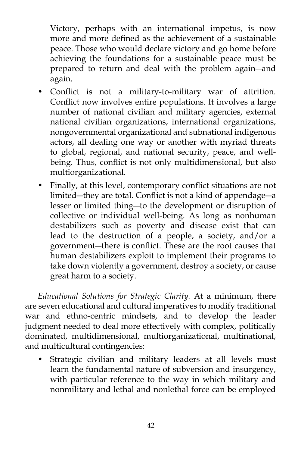Victory, perhaps with an international impetus, is now more and more defined as the achievement of a sustainable peace. Those who would declare victory and go home before achieving the foundations for a sustainable peace must be prepared to return and deal with the problem again―and again.

- Conflict is not a military-to-military war of attrition. Conflict now involves entire populations. It involves a large number of national civilian and military agencies, external national civilian organizations, international organizations, nongovernmental organizational and subnational indigenous actors, all dealing one way or another with myriad threats to global, regional, and national security, peace, and wellbeing. Thus, conflict is not only multidimensional, but also multiorganizational.
- Finally, at this level, contemporary conflict situations are not limited―they are total. Conflict is not a kind of appendage―a lesser or limited thing―to the development or disruption of collective or individual well-being. As long as nonhuman destabilizers such as poverty and disease exist that can lead to the destruction of a people, a society, and/or a government―there is conflict. These are the root causes that human destabilizers exploit to implement their programs to take down violently a government, destroy a society, or cause great harm to a society.

 *Educational Solutions for Strategic Clarity.* At a minimum, there are seven educational and cultural imperatives to modify traditional war and ethno-centric mindsets, and to develop the leader judgment needed to deal more effectively with complex, politically dominated, multidimensional, multiorganizational, multinational, and multicultural contingencies:

Strategic civilian and military leaders at all levels must learn the fundamental nature of subversion and insurgency, with particular reference to the way in which military and nonmilitary and lethal and nonlethal force can be employed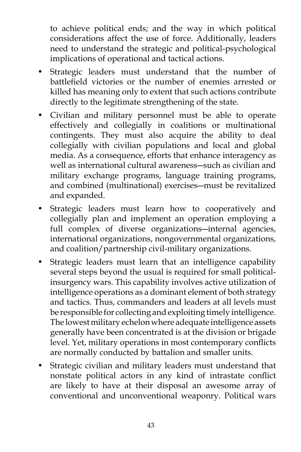to achieve political ends; and the way in which political considerations affect the use of force. Additionally, leaders need to understand the strategic and political-psychological implications of operational and tactical actions.

- Strategic leaders must understand that the number of battlefield victories or the number of enemies arrested or killed has meaning only to extent that such actions contribute directly to the legitimate strengthening of the state.
- Civilian and military personnel must be able to operate effectively and collegially in coalitions or multinational contingents. They must also acquire the ability to deal collegially with civilian populations and local and global media. As a consequence, efforts that enhance interagency as well as international cultural awareness―such as civilian and military exchange programs, language training programs, and combined (multinational) exercises―must be revitalized and expanded.
- Strategic leaders must learn how to cooperatively and collegially plan and implement an operation employing a full complex of diverse organizations—internal agencies, international organizations, nongovernmental organizations, and coalition/partnership civil-military organizations.
- Strategic leaders must learn that an intelligence capability several steps beyond the usual is required for small politicalinsurgency wars. This capability involves active utilization of intelligence operations as a dominant element of both strategy and tactics. Thus, commanders and leaders at all levels must be responsible for collecting and exploiting timely intelligence. The lowest military echelon where adequate intelligence assets generally have been concentrated is at the division or brigade level. Yet, military operations in most contemporary conflicts are normally conducted by battalion and smaller units.
- Strategic civilian and military leaders must understand that nonstate political actors in any kind of intrastate conflict are likely to have at their disposal an awesome array of conventional and unconventional weaponry. Political wars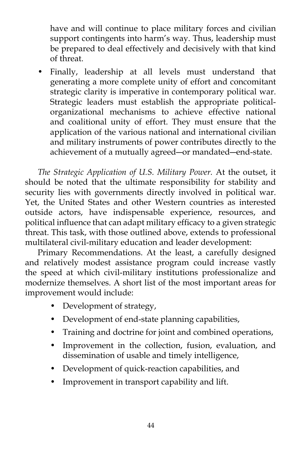have and will continue to place military forces and civilian support contingents into harm's way. Thus, leadership must be prepared to deal effectively and decisively with that kind of threat.

 • Finally, leadership at all levels must understand that generating a more complete unity of effort and concomitant strategic clarity is imperative in contemporary political war. Strategic leaders must establish the appropriate politicalorganizational mechanisms to achieve effective national and coalitional unity of effort. They must ensure that the application of the various national and international civilian and military instruments of power contributes directly to the achievement of a mutually agreed―or mandated―end-state.

*The Strategic Application of U.S. Military Power.* At the outset, it should be noted that the ultimate responsibility for stability and security lies with governments directly involved in political war. Yet, the United States and other Western countries as interested outside actors, have indispensable experience, resources, and political influence that can adapt military efficacy to a given strategic threat. This task, with those outlined above, extends to professional multilateral civil-military education and leader development:

 Primary Recommendations. At the least, a carefully designed and relatively modest assistance program could increase vastly the speed at which civil-military institutions professionalize and modernize themselves. A short list of the most important areas for improvement would include:

- Development of strategy,
- Development of end-state planning capabilities,
- Training and doctrine for joint and combined operations,
- Improvement in the collection, fusion, evaluation, and dissemination of usable and timely intelligence,
- Development of quick-reaction capabilities, and
- Improvement in transport capability and lift.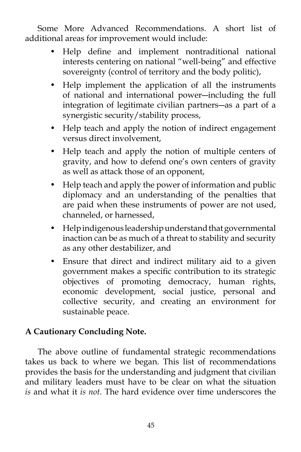Some More Advanced Recommendations. A short list of additional areas for improvement would include:

- Help define and implement nontraditional national interests centering on national "well-being" and effective sovereignty (control of territory and the body politic),
- Help implement the application of all the instruments of national and international power―including the full integration of legitimate civilian partners―as a part of a synergistic security/stability process,
- Help teach and apply the notion of indirect engagement versus direct involvement,
- Help teach and apply the notion of multiple centers of gravity, and how to defend one's own centers of gravity as well as attack those of an opponent,
- Help teach and apply the power of information and public diplomacy and an understanding of the penalties that are paid when these instruments of power are not used, channeled, or harnessed,
- Help indigenous leadership understand that governmental inaction can be as much of a threat to stability and security as any other destabilizer, and
- Ensure that direct and indirect military aid to a given government makes a specific contribution to its strategic objectives of promoting democracy, human rights, economic development, social justice, personal and collective security, and creating an environment for sustainable peace.

# **A Cautionary Concluding Note.**

 The above outline of fundamental strategic recommendations takes us back to where we began. This list of recommendations provides the basis for the understanding and judgment that civilian and military leaders must have to be clear on what the situation *is* and what it *is not*. The hard evidence over time underscores the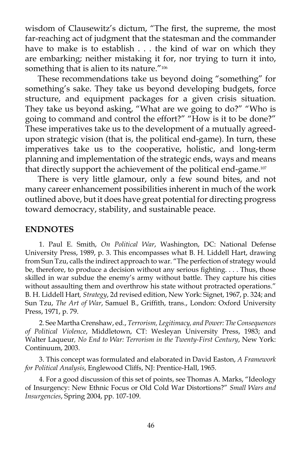wisdom of Clausewitz's dictum, "The first, the supreme, the most far-reaching act of judgment that the statesman and the commander have to make is to establish . . . the kind of war on which they are embarking; neither mistaking it for, nor trying to turn it into, something that is alien to its nature."<sup>106</sup>

 These recommendations take us beyond doing "something" for something's sake. They take us beyond developing budgets, force structure, and equipment packages for a given crisis situation. They take us beyond asking, "What are we going to do?" "Who is going to command and control the effort?" "How is it to be done?" These imperatives take us to the development of a mutually agreedupon strategic vision (that is, the political end-game). In turn, these imperatives take us to the cooperative, holistic, and long-term planning and implementation of the strategic ends, ways and means that directly support the achievement of the political end-game.<sup>107</sup>

 There is very little glamour, only a few sound bites, and not many career enhancement possibilities inherent in much of the work outlined above, but it does have great potential for directing progress toward democracy, stability, and sustainable peace.

### **ENDNOTES**

 1. Paul E. Smith, *On Political War*, Washington, DC: National Defense University Press, 1989, p. 3. This encompasses what B. H. Liddell Hart, drawing from Sun Tzu, calls the indirect approach to war. "The perfection of strategy would be, therefore, to produce a decision without any serious fighting. . . . Thus, those skilled in war subdue the enemy's army without battle. They capture his cities without assaulting them and overthrow his state without protracted operations." B. H. Liddell Hart*, Strategy*, 2d revised edition, New York: Signet, 1967, p. 324; and Sun Tzu, *The Art of War*, Samuel B., Griffith, trans., London: Oxford University Press, 1971, p. 79.

 2. See Martha Crenshaw, ed., *Terrorism, Legitimacy, and Power: The Consequences of Political Violence*, Middletown, CT: Wesleyan University Press, 1983; and Walter Laqueur*, No End to War: Terrorism in the Twenty-First Century*, New York: Continuum, 2003.

 3. This concept was formulated and elaborated in David Easton, *A Framework for Political Analysis*, Englewood Cliffs, NJ: Prentice-Hall, 1965.

 4. For a good discussion of this set of points, see Thomas A. Marks, "Ideology of Insurgency: New Ethnic Focus or Old Cold War Distortions?" *Small Wars and Insurgencies*, Spring 2004, pp. 107-109.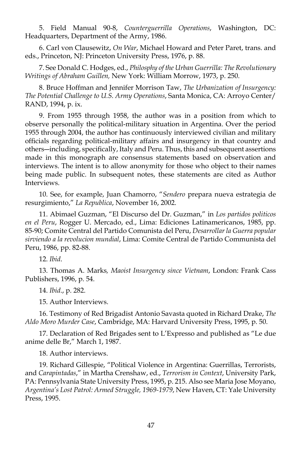5. Field Manual 90-8, *Counterguerrilla Operations*, Washington, DC: Headquarters, Department of the Army, 1986.

 6. Carl von Clausewitz, *On War*, Michael Howard and Peter Paret, trans. and eds., Princeton, NJ: Princeton University Press, 1976, p. 88.

 7. See Donald C. Hodges, ed., *Philosphy of the Urban Guerrilla: The Revolutionary Writings of Abraham Guillen,* New York: William Morrow, 1973, p. 250.

 8. Bruce Hoffman and Jennifer Morrison Taw, *The Urbanization of Insurgency: The Potential Challenge to U.S. Army Operations*, Santa Monica, CA: Arroyo Center/ RAND, 1994, p. ix.

 9. From 1955 through 1958, the author was in a position from which to observe personally the political-military situation in Argentina. Over the period 1955 through 2004, the author has continuously interviewed civilian and military officials regarding political-military affairs and insurgency in that country and others―including, specifically, Italy and Peru. Thus, this and subsequent assertions made in this monograph are consensus statements based on observation and interviews. The intent is to allow anonymity for those who object to their names being made public. In subsequent notes, these statements are cited as Author Interviews.

 10. See, for example, Juan Chamorro, "*Sendero* prepara nueva estrategia de resurgimiento," *La Republica*, November 16, 2002.

 11. Abimael Guzman, "El Discurso del Dr. Guzman," in *Los partidos politicos en el Peru*, Rogger U. Mercado, ed., Lima: Ediciones Latinamericanos, 1985, pp. 85-90; Comite Central del Partido Comunista del Peru, *Desarrollar la Guerra popular sirviendo a la revolucion mundial*, Lima: Comite Central de Partido Communista del Peru, 1986, pp. 82-88.

12. *Ibid*.

 13. Thomas A. Marks*, Maoist Insurgency since Vietnam*, London: Frank Cass Publishers, 1996, p. 54.

14. *Ibid*., p. 282.

15. Author Interviews.

 16. Testimony of Red Brigadist Antonio Savasta quoted in Richard Drake, *The Aldo Moro Murder Case*, Cambridge, MA: Harvard University Press, 1995, p. 50.

 17. Declaration of Red Brigades sent to L'Expresso and published as "Le due anime delle Br," March 1, 1987.

18. Author interviews.

 19. Richard Gillespie, "Political Violence in Argentina: Guerrillas, Terrorists, and *Carapintadas*," in Martha Crenshaw, ed., *Terrorism in Context*, University Park, PA: Pennsylvania State University Press, 1995, p. 215. Also see Maria Jose Moyano, *Argentina's Lost Patrol: Armed Struggle, 1969-1979*, New Haven, CT: Yale University Press, 1995.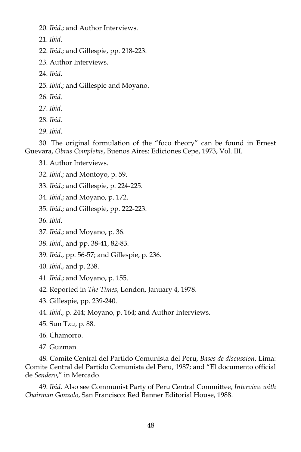20. *Ibid*.; and Author Interviews.

21. *Ibid*.

22. *Ibid*.; and Gillespie, pp. 218-223.

23. Author Interviews.

24. *Ibid*.

25. *Ibid*.; and Gillespie and Moyano.

26. *Ibid*.

27. *Ibid*.

28. *Ibid*.

29. *Ibid*.

 30. The original formulation of the "foco theory" can be found in Ernest Guevara, *Obras Completas*, Buenos Aires: Ediciones Cepe, 1973, Vol. III.

31. Author Interviews.

32. *Ibid*.; and Montoyo, p. 59.

33. *Ibid*.; and Gillespie, p. 224-225.

34. *Ibid*.; and Moyano, p. 172.

35. *Ibid*.; and Gillespie, pp. 222-223.

36. *Ibid*.

37. *Ibid*.; and Moyano, p. 36.

38. *Ibid*., and pp. 38-41, 82-83.

39. *Ibid*., pp. 56-57; and Gillespie, p. 236.

40. *Ibid*., and p. 238.

41. *Ibid*.; and Moyano, p. 155.

42. Reported in *The Times*, London, January 4, 1978.

43. Gillespie, pp. 239-240.

44. *Ibid*., p. 244; Moyano, p. 164; and Author Interviews.

45. Sun Tzu, p. 88.

46. Chamorro.

47. Guzman.

 48. Comite Central del Partido Comunista del Peru, *Bases de discussion*, Lima: Comite Central del Partido Comunista del Peru, 1987; and "El documento official de *Sendero*," in Mercado.

 49. *Ibid*. Also see Communist Party of Peru Central Committee, *Interview with Chairman Gonzolo*, San Francisco: Red Banner Editorial House, 1988.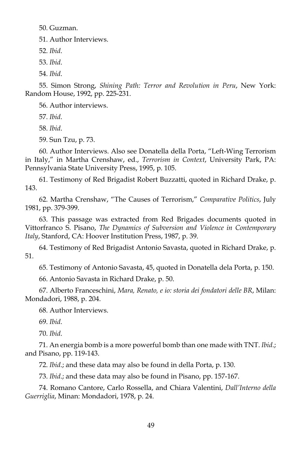50. Guzman.

51. Author Interviews.

52. *Ibid*.

53. *Ibid*.

54. *Ibid*.

 55. Simon Strong, *Shining Path: Terror and Revolution in Peru*, New York: Random House, 1992, pp. 225-231.

56. Author interviews.

57. *Ibid*.

58. *Ibid*.

59. Sun Tzu, p. 73.

 60. Author Interviews. Also see Donatella della Porta, "Left-Wing Terrorism in Italy," in Martha Crenshaw, ed., *Terrorism in Context*, University Park, PA: Pennsylvania State University Press, 1995, p. 105.

 61. Testimony of Red Brigadist Robert Buzzatti, quoted in Richard Drake, p. 143.

 62. Martha Crenshaw, "The Causes of Terrorism," *Comparative Politics*, July 1981, pp. 379-399.

 63. This passage was extracted from Red Brigades documents quoted in Vittorfranco S. Pisano, *The Dynamics of Subversion and Violence in Contemporary Italy*, Stanford, CA: Hoover Institution Press, 1987, p. 39.

 64. Testimony of Red Brigadist Antonio Savasta, quoted in Richard Drake, p. 51.

65. Testimony of Antonio Savasta, 45, quoted in Donatella dela Porta, p. 150.

66. Antonio Savasta in Richard Drake, p. 50.

 67. Alberto Franceschini, *Mara, Renato, e io: storia dei fondatori delle BR*, Milan: Mondadori, 1988, p. 204.

68. Author Interviews.

69. *Ibid*.

70. *Ibid*.

 71. An energia bomb is a more powerful bomb than one made with TNT. *Ibid*.; and Pisano, pp. 119-143.

72. *Ibid*.; and these data may also be found in della Porta, p. 130.

73. *Ibid*.; and these data may also be found in Pisano, pp. 157-167.

 74. Romano Cantore, Carlo Rossella, and Chiara Valentini, *Dall'Interno della Guerriglia*, Minan: Mondadori, 1978, p. 24.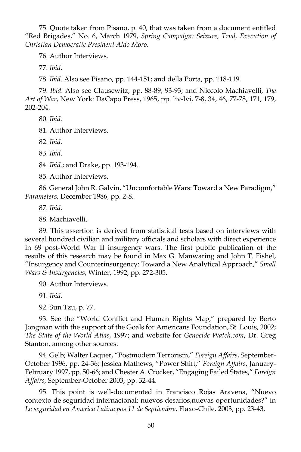75. Quote taken from Pisano, p. 40, that was taken from a document entitled "Red Brigades," No. 6, March 1979, *Spring Campaign: Seizure, Trial, Execution of Christian Democratic President Aldo Moro*.

76. Author Interviews.

77. *Ibid*.

78. *Ibid*. Also see Pisano, pp. 144-151; and della Porta, pp. 118-119.

 79. *Ibid*. Also see Clausewitz, pp. 88-89; 93-93; and Niccolo Machiavelli, *The Art of War*, New York: DaCapo Press, 1965, pp. liv-lvi, 7-8, 34, 46, 77-78, 171, 179, 202-204.

80. *Ibid*.

81. Author Interviews.

82. *Ibid*.

83. *Ibid*.

84. *Ibid*.; and Drake, pp. 193-194.

85. Author Interviews.

 86. General John R. Galvin, "Uncomfortable Wars: Toward a New Paradigm," *Parameters*, December 1986, pp. 2-8.

87. *Ibid*.

88. Machiavelli.

 89. This assertion is derived from statistical tests based on interviews with several hundred civilian and military officials and scholars with direct experience in 69 post-World War II insurgency wars. The first public publication of the results of this research may be found in Max G. Manwaring and John T. Fishel, "Insurgency and Counterinsurgency: Toward a New Analytical Approach," *Small Wars & Insurgencies*, Winter, 1992, pp. 272-305.

90. Author Interviews.

91. *Ibid*.

92. Sun Tzu, p. 77.

 93. See the "World Conflict and Human Rights Map," prepared by Berto Jongman with the support of the Goals for Americans Foundation, St. Louis, 2002; *The State of the World Atlas*, 1997; and website for *Genocide Watch.com*, Dr. Greg Stanton, among other sources.

 94. Gelb; Walter Laquer, "Postmodern Terrorism," *Foreign Affairs*, September-October 1996, pp. 24-36; Jessica Mathews, "Power Shift," *Foreign Affairs*, January-February 1997, pp. 50-66; and Chester A. Crocker, "Engaging Failed States," *Foreign Affairs*, September-October 2003, pp. 32-44.

 95. This point is well-documented in Francisco Rojas Aravena, "Nuevo contexto de seguridad internacional: nuevos desafios,nuevas oportunidades?" in *La seguridad en America Latina pos 11 de Septiembre*, Flaxo-Chile, 2003, pp. 23-43.